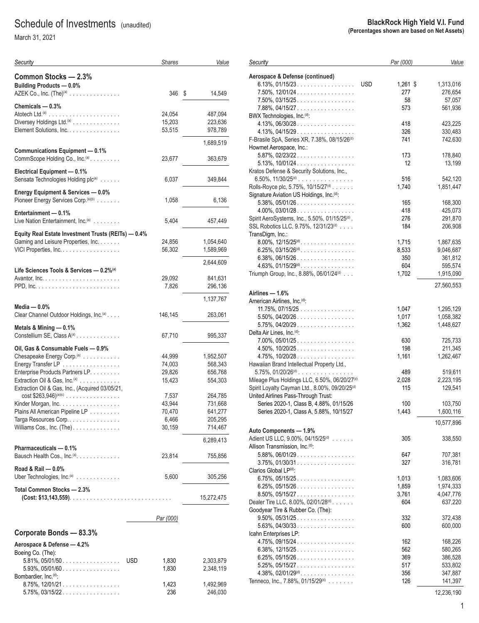## Schedule of Investments (unaudited)

March 31, 2021

| Security                                                                                     | <b>Shares</b>       | Value              |
|----------------------------------------------------------------------------------------------|---------------------|--------------------|
| Common Stocks - 2.3%<br>Building Products - 0.0%                                             |                     |                    |
| AZEK Co., Inc. $(The)^{(a)}$                                                                 | 346                 | 14,549<br>\$       |
| Chemicals $-0.3%$                                                                            |                     |                    |
|                                                                                              | 24,054              | 487,094            |
| Diversey Holdings Ltd. <sup>(a)</sup><br>Element Solutions, Inc.                             | 15,203<br>53,515    | 223,636<br>978,789 |
|                                                                                              |                     | 1,689,519          |
| <b>Communications Equipment - 0.1%</b>                                                       |                     |                    |
| CommScope Holding Co., Inc. <sup>(a)</sup> .                                                 | 23,677              | 363,679            |
| Electrical Equipment - 0.1%                                                                  |                     | 349,844            |
| Sensata Technologies Holding plc(a)                                                          | 6,037               |                    |
| Energy Equipment & Services - 0.0%                                                           |                     |                    |
| Pioneer Energy Services Corp. (a)(b)                                                         | 1,058               | 6,136              |
| Entertainment - 0.1%                                                                         |                     |                    |
| Live Nation Entertainment, Inc. <sup>(a)</sup>                                               | 5,404               | 457,449            |
| Equity Real Estate Investment Trusts (REITs) - 0.4%                                          |                     |                    |
| Gaming and Leisure Properties, Inc.                                                          | 24,856              | 1,054,640          |
| VICI Properties, Inc.                                                                        | 56,302              | 1,589,969          |
|                                                                                              |                     | 2,644,609          |
| Life Sciences Tools & Services - 0.2% <sup>(a)</sup>                                         |                     |                    |
|                                                                                              | 29,092              | 841,631            |
|                                                                                              | 7,826               | 296,136            |
|                                                                                              |                     | 1,137,767          |
| Media $-0.0\%$<br>Clear Channel Outdoor Holdings, Inc. <sup>(a)</sup>                        | 146,145             | 263,061            |
|                                                                                              |                     |                    |
| Metals & Mining - 0.1%                                                                       |                     |                    |
| Constellium SE, Class A <sup>(a)</sup>                                                       | 67,710              | 995,337            |
| Oil, Gas & Consumable Fuels - 0.9%                                                           |                     |                    |
| Chesapeake Energy Corp. $(a)$                                                                | 44,999              | 1,952,507          |
| Energy Transfer LP                                                                           | 74,003              | 568,343            |
| Enterprise Products Partners LP.                                                             | 29,826              | 656,768            |
| Extraction Oil & Gas, Inc. <sup>(a)</sup><br>Extraction Oil & Gas, Inc., (Acquired 03/05/21, | 15,423              | 554,303            |
| $cost$ \$263,946) <sup>(a)(c)</sup>                                                          | 7,537               | 264,785            |
| Kinder Morgan, Inc.                                                                          | 43,944              | 731,668            |
| Plains All American Pipeline LP                                                              | 70,470              | 641,277            |
| Targa Resources Corp                                                                         | 6,466               | 205,295            |
| Williams Cos., Inc. (The).                                                                   | 30,159              | 714,467            |
|                                                                                              |                     | 6,289,413          |
| Pharmaceuticals - 0.1%                                                                       |                     |                    |
| Bausch Health Cos., Inc. <sup>(a)</sup> .                                                    | 23,814              | 755,856            |
| Road & Rail - 0.0%                                                                           |                     |                    |
| Uber Technologies, Inc. <sup>(a)</sup>                                                       | 5,600               | 305,256            |
| Total Common Stocks - 2.3%                                                                   |                     | 15,272,475         |
|                                                                                              |                     |                    |
|                                                                                              | Par (000)           |                    |
| Corporate Bonds - 83.3%                                                                      |                     |                    |
| Aerospace & Defense - 4.2%                                                                   |                     |                    |
| Boeing Co. (The):                                                                            |                     |                    |
| $5.81\%$ , 05/01/50                                                                          | <b>USD</b><br>1,830 | 2,303,879          |
| 5.93%, 05/01/60                                                                              | 1,830               | 2,348,119          |
| Bombardier, Inc. <sup>(d)</sup> :                                                            |                     |                    |
| $8.75\%$ , 12/01/21.                                                                         | 1,423               | 1,492,969          |
| 5.75%, 03/15/22                                                                              | 236                 | 246,030            |

#### **BlackRock High Yield V.I. Fund (Percentages shown are based on Net Assets)**

| Security                                                                       | Par (000)              | Value                  |
|--------------------------------------------------------------------------------|------------------------|------------------------|
| Aerospace & Defense (continued)<br>$6.13\%$ , 01/15/23.                        | <b>USD</b><br>1,261 \$ | 1,313,016              |
| $7.50\%$ , $12/01/24$                                                          | 277                    | 276,654                |
| $7.50\%$ , 03/15/25                                                            | 58                     | 57,057                 |
| 7.88%, 04/15/27.                                                               | 573                    | 561,936                |
| BWX Technologies, Inc. <sup>(d)</sup> :                                        |                        |                        |
| $4.13\%, 06/30/28 \dots  \dots $                                               | 418                    | 423,225                |
| $4.13\%$ , $04/15/29$                                                          | 326                    | 330,483                |
| F-Brasile SpA, Series XR, 7.38%, 08/15/26 <sup>(d)</sup>                       | 741                    | 742,630                |
| Howmet Aerospace, Inc.:                                                        |                        |                        |
| 5.87%, 02/23/22                                                                | 173                    | 178,840                |
| $5.13\%$ , $10/01/24$                                                          | 12                     | 13,199                 |
| Kratos Defense & Security Solutions, Inc.,<br>$6.50\%$ , $11/30/25^{(d)}$      | 516                    | 542,120                |
| Rolls-Royce plc, 5.75%, 10/15/27(d)                                            | 1,740                  | 1,851,447              |
| Signature Aviation US Holdings, Inc. <sup>(d)</sup> :                          |                        |                        |
| 5.38%, 05/01/26                                                                | 165                    | 168,300                |
| $4.00\%$ , 03/01/28                                                            | 418                    | 425,073                |
| Spirit AeroSystems, Inc., 5.50%, 01/15/25 <sup>(d)</sup> .                     | 276                    | 291,870                |
| SSL Robotics LLC, 9.75%, 12/31/23(d)                                           | 184                    | 206,908                |
| TransDigm, Inc.:                                                               |                        |                        |
| $8.00\%$ , $12/15/25$ <sup>(d)</sup>                                           | 1,715                  | 1,867,635              |
| $6.25\%$ , 03/15/26 <sup>(d)</sup> .                                           | 8,533                  | 9,046,687              |
| $6.38\%$ , 06/15/26                                                            | 350                    | 361,812                |
| $4.63\%$ , $01/15/29^{(d)}$ .                                                  | 604                    | 595,574                |
| Triumph Group, Inc., 8.88%, 06/01/24(d)                                        | 1,702                  | 1,915,090              |
|                                                                                |                        | 27,560,553             |
| Airlines — 1.6%                                                                |                        |                        |
| American Airlines, Inc. <sup>(d)</sup> :                                       |                        |                        |
| $11.75\%$ , 07/15/25                                                           | 1,047                  | 1,295,129              |
| 5.50%, 04/20/26<br>$5.75\%$ , 04/20/29                                         | 1,017<br>1,362         | 1,058,382<br>1,448,627 |
| Delta Air Lines, Inc. <sup>(d)</sup> :                                         |                        |                        |
| $7.00\%$ , $05/01/25$                                                          | 630                    | 725,733                |
| $4.50\%$ , 10/20/25                                                            | 198                    | 211,345                |
| 4.75%, 10/20/28.                                                               | 1,161                  | 1,262,467              |
| Hawaiian Brand Intellectual Property Ltd.,                                     |                        |                        |
| $5.75\%$ , $01/20/26^{(d)}$ .                                                  | 489                    | 519,611                |
| Mileage Plus Holdings LLC, 6.50%, 06/20/27 <sup>(d)</sup>                      | 2,028                  | 2,223,195              |
| Spirit Loyalty Cayman Ltd., 8.00%, 09/20/25 <sup>(d)</sup>                     | 115                    | 129,541                |
| United Airlines Pass-Through Trust:<br>Series 2020-1, Class B, 4.88%, 01/15/26 |                        |                        |
| Series 2020-1, Class A, 5.88%, 10/15/27                                        | 100<br>1,443           | 103,750<br>1,600,116   |
|                                                                                |                        |                        |
|                                                                                |                        | 10,577,896             |
| Auto Components - 1.9%<br>Adient US LLC, 9.00%, 04/15/25 <sup>(d)</sup>        |                        |                        |
| Allison Transmission, Inc. <sup>(d)</sup> :                                    | 305                    | 338,550                |
| $5.88\%$ , 06/01/29.                                                           | 647                    | 707,381                |
| $3.75\%$ , 01/30/31                                                            | 327                    | 316,781                |
| Clarios Global LP <sup>(d)</sup> :                                             |                        |                        |
| $6.75\%$ , $05/15/25$                                                          | 1,013                  | 1,083,606              |
| 6.25%, 05/15/26                                                                | 1,859                  | 1,974,333              |
| 8.50%, 05/15/27                                                                | 3,761                  | 4,047,776              |
| Dealer Tire LLC, 8.00%, 02/01/28 <sup>(d)</sup> .                              | 604                    | 637,220                |
| Goodyear Tire & Rubber Co. (The):                                              |                        |                        |
| 9.50%, 05/31/25                                                                | 332                    | 372,438                |
| $5.63\%$ , 04/30/33.                                                           | 600                    | 600,000                |
| Icahn Enterprises LP:<br>$4.75\%$ , 09/15/24                                   | 162                    |                        |
| 6.38%, $12/15/25$                                                              | 562                    | 168,226<br>580,265     |
| 6.25%, 05/15/26                                                                | 369                    | 386,528                |
| $5.25\%$ , 05/15/27                                                            | 517                    | 533,802                |
| $4.38\%$ , $02/01/29$ <sup>(d)</sup>                                           | 356                    | 347,887                |
| Tenneco, Inc., 7.88%, 01/15/29(d)                                              | 126                    | 141,397                |
|                                                                                |                        |                        |

12,236,190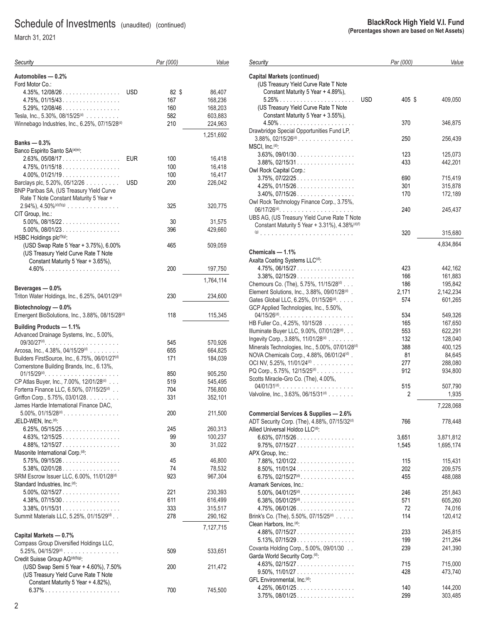| Security                                                                                                | Par (000)  | Value             |
|---------------------------------------------------------------------------------------------------------|------------|-------------------|
| Automobiles - 0.2%                                                                                      |            |                   |
| Ford Motor Co.:<br>$4.35\%$ , $12/08/26$<br><b>USD</b>                                                  | 82 \$      | 86,407            |
| 4.75%, 01/15/43.                                                                                        | 167        | 168,236           |
| $5.29\%$ , $12/08/46$                                                                                   | 160        | 168,203           |
| Tesla, Inc., 5.30%, 08/15/25 <sup>(d)</sup>                                                             | 582        | 603,883           |
| Winnebago Industries, Inc., 6.25%, 07/15/28 <sup>(d)</sup>                                              | 210        | 224,963           |
|                                                                                                         |            | 1,251,692         |
| Banks — 0.3%                                                                                            |            |                   |
| Banco Espirito Santo SA(a)(e):                                                                          |            |                   |
| $2.63\%$ , 05/08/17<br><b>EUR</b>                                                                       | 100        | 16,418            |
| 4.75%, 01/15/18.                                                                                        | 100        | 16,418<br>16,417  |
| $4.00\%$ , 01/21/19.<br>Barclays plc, 5.20%, 05/12/26<br><b>USD</b>                                     | 100<br>200 | 226,042           |
| BNP Paribas SA, (US Treasury Yield Curve                                                                |            |                   |
| Rate T Note Constant Maturity 5 Year +                                                                  |            |                   |
| $2.94\%$ ), $4.50\%$ <sup>(d)(f)(g)</sup>                                                               | 325        | 320,775           |
| CIT Group, Inc.:                                                                                        |            |                   |
| $5.00\%$ , $08/15/22$                                                                                   | 30         | 31,575            |
| 5.00%, 08/01/23                                                                                         | 396        | 429,660           |
| HSBC Holdings plc(f)(g):                                                                                |            |                   |
| (USD Swap Rate 5 Year + 3.75%), 6.00%                                                                   | 465        | 509,059           |
| (US Treasury Yield Curve Rate T Note                                                                    |            |                   |
| Constant Maturity 5 Year + 3.65%).                                                                      | 200        | 197,750           |
|                                                                                                         |            | 1,764,114         |
| Beverages - 0.0%                                                                                        |            |                   |
| Triton Water Holdings, Inc., 6.25%, 04/01/29 <sup>(d)</sup>                                             | 230        | 234,600           |
| Biotechnology - 0.0%                                                                                    |            |                   |
| Emergent BioSolutions, Inc., 3.88%, 08/15/28(d)                                                         | 118        | 115,345           |
| <b>Building Products - 1.1%</b>                                                                         |            |                   |
| Advanced Drainage Systems, Inc., 5.00%,                                                                 |            |                   |
| $09/30/27^{(d)}$                                                                                        | 545        | 570,926           |
| Arcosa, Inc., $4.38\%$ , $04/15/29^{(d)}$<br>Builders FirstSource, Inc., 6.75%, 06/01/27 <sup>(d)</sup> | 655<br>171 | 664,825           |
| Cornerstone Building Brands, Inc., 6.13%,                                                               |            | 184,039           |
| $01/15/29$ <sup>(d)</sup>                                                                               | 850        | 905,250           |
| CP Atlas Buyer, Inc., 7.00%, 12/01/28 <sup>(d)</sup>                                                    | 519        | 545,495           |
| Forterra Finance LLC, 6.50%, 07/15/25 <sup>(d)</sup>                                                    | 704        | 756,800           |
| Griffon Corp., 5.75%, 03/01/28.                                                                         | 331        | 352,101           |
| James Hardie International Finance DAC,                                                                 |            |                   |
| $5.00\%$ , $01/15/28^{(d)}$ .                                                                           | 200        | 211,500           |
| JELD-WEN, Inc. <sup>(d)</sup> :                                                                         |            |                   |
| $6.25\%$ , 05/15/25                                                                                     | 245        | 260,313           |
| $4.63\%$ , $12/15/25$<br>$4.88\%, 12/15/27 \dots $                                                      | 99<br>30   | 100,237<br>31,022 |
| Masonite International Corp. <sup>(d)</sup> :                                                           |            |                   |
| $5.75\%$ , 09/15/26                                                                                     | 45         | 46,800            |
| $5.38\%$ , 02/01/28.                                                                                    | 74         | 78,532            |
| SRM Escrow Issuer LLC, 6.00%, 11/01/28 <sup>(d)</sup>                                                   | 923        | 967,304           |
| Standard Industries, Inc. <sup>(d)</sup> :                                                              |            |                   |
| $5.00\%$ , 02/15/27                                                                                     | 221        | 230,393           |
| $4.38\%, 07/15/30 \ldots \ldots \ldots \ldots \ldots$                                                   | 611        | 616,499           |
| $3.38\%$ , 01/15/31                                                                                     | 333        | 315,517           |
| Summit Materials LLC, 5.25%, 01/15/29(d)                                                                | 278        | 290,162           |
| Capital Markets - 0.7%                                                                                  |            | 7,127,715         |
| Compass Group Diversified Holdings LLC,                                                                 |            |                   |
| $5.25\%$ , 04/15/29 <sup>(d)</sup>                                                                      | 509        | 533,651           |
| Credit Suisse Group AG <sup>(d)(f)(g)</sup> :                                                           |            |                   |
| (USD Swap Semi 5 Year + 4.60%), 7.50%                                                                   | 200        | 211,472           |
| (US Treasury Yield Curve Rate T Note                                                                    |            |                   |
| Constant Maturity 5 Year + 4.82%),                                                                      |            |                   |
|                                                                                                         | 700        | 745,500           |

| Security                                                                                                         | Par (000)  | Value              |
|------------------------------------------------------------------------------------------------------------------|------------|--------------------|
| <b>Capital Markets (continued)</b><br>(US Treasury Yield Curve Rate T Note<br>Constant Maturity 5 Year + 4.89%), |            |                    |
| <b>USD</b><br>(US Treasury Yield Curve Rate T Note<br>Constant Maturity 5 Year + 3.55%),                         | 405 \$     | 409,050            |
|                                                                                                                  | 370        | 346,875            |
| Drawbridge Special Opportunities Fund LP,<br>$3.88\%$ , 02/15/26 <sup>(d)</sup><br>MSCI, Inc. <sup>(d)</sup> :   | 250        | 256,439            |
| $3.63\%$ , 09/01/30                                                                                              | 123        | 125,073            |
| 3.88%, 02/15/31<br>Owl Rock Capital Corp.:                                                                       | 433        | 442,201            |
| $3.75\%$ , $07/22/25$<br>$4.25\%$ , 01/15/26.                                                                    | 690<br>301 | 715,419            |
| $3.40\%$ , $07/15/26$                                                                                            | 170        | 315,878<br>172,189 |
| Owl Rock Technology Finance Corp., 3.75%,                                                                        |            |                    |
| UBS AG, (US Treasury Yield Curve Rate T Note<br>Constant Maturity 5 Year + 3.31%), 4.38%(d)(f)                   | 240        | 245,437            |
|                                                                                                                  | 320        | 315,680            |
|                                                                                                                  |            | 4,834,864          |
| Chemicals - 1.1%                                                                                                 |            |                    |
| Axalta Coating Systems LLC <sup>(d)</sup> :<br>$4.75\%$ , 06/15/27                                               | 423        | 442,162            |
| $3.38\%$ , 02/15/29.                                                                                             | 166        | 161,883            |
| Chemours Co. (The), 5.75%, 11/15/28(d)                                                                           | 186        | 195,842            |
| Element Solutions, Inc., 3.88%, 09/01/28(d).                                                                     | 2,171      | 2,142,234          |
| Gates Global LLC, 6.25%, 01/15/26(d).<br>GCP Applied Technologies, Inc., 5.50%,                                  | 574        | 601,265            |
| $04/15/26^{(d)}$                                                                                                 | 534        | 549,326            |
| HB Fuller Co., 4.25%, 10/15/28                                                                                   | 165        | 167,650            |
| Illuminate Buyer LLC, 9.00%, 07/01/28(d).                                                                        | 553        | 622,291            |
| Ingevity Corp., 3.88%, 11/01/28(d)<br>Minerals Technologies, Inc., 5.00%, 07/01/28 <sup>(d)</sup>                | 132<br>388 | 128,040<br>400,125 |
| NOVA Chemicals Corp., 4.88%, 06/01/24(d).                                                                        | 81         | 84,645             |
| OCI NV, 5.25%, 11/01/24 <sup>(d)</sup>                                                                           | 277        | 288,080            |
| PQ Corp., 5.75%, 12/15/25 <sup>(d)</sup> .                                                                       | 912        | 934,800            |
| Scotts Miracle-Gro Co. (The), 4.00%,                                                                             |            |                    |
| $04/01/31^{(d)}$                                                                                                 | 515        | 507,790            |
| Valvoline, Inc., 3.63%, 06/15/31 <sup>(d)</sup>                                                                  | 2          | 1,935              |
| Commercial Services & Supplies - 2.6%                                                                            |            | 7,228,068          |
| ADT Security Corp. (The), 4.88%, 07/15/32(d)<br>Allied Universal Holdco LLC(d):                                  | 766        | 778,448            |
| $6.63\%$ , 07/15/26.                                                                                             | 3,651      | 3,871,812          |
| $9.75\%$ , $07/15/27$                                                                                            | 1,545      | 1,695,174          |
| APX Group, Inc.:                                                                                                 |            |                    |
| 7.88%, 12/01/22.                                                                                                 | 115        | 115,431            |
| $8.50\%$ , $11/01/24$                                                                                            | 202        | 209,575            |
| $6.75\%$ , $02/15/27^{(d)}$ .<br>Aramark Services, Inc.:                                                         | 455        | 488,088            |
| $5.00\%$ , $04/01/25^{(d)}$ .                                                                                    | 246        | 251,843            |
| 6.38%, $05/01/25$ <sup>(d)</sup> .                                                                               | 571        | 605,260            |
| $4.75\%$ , 06/01/26                                                                                              | 72         | 74,016             |
| Brink's Co. (The), 5.50%, 07/15/25(d)                                                                            | 114        | 120,412            |
| Clean Harbors, Inc. <sup>(d)</sup> :                                                                             |            |                    |
| $4.88\%, 07/15/27$                                                                                               | 233        | 245,815            |
| $5.13\%$ , 07/15/29.                                                                                             | 199        | 211,264            |
| Covanta Holding Corp., 5.00%, 09/01/30                                                                           | 239        | 241,390            |
| Garda World Security Corp. <sup>(d)</sup> :                                                                      |            |                    |
| $4.63\%$ , 02/15/27                                                                                              | 715        | 715,000            |
| $9.50\%$ , 11/01/27<br>GFL Environmental, Inc. <sup>(d)</sup> :                                                  | 428        | 473,740            |
| $4.25\%$ , 06/01/25                                                                                              | 140        | 144,200            |
| $3.75\%$ , 08/01/25                                                                                              | 299        | 303,485            |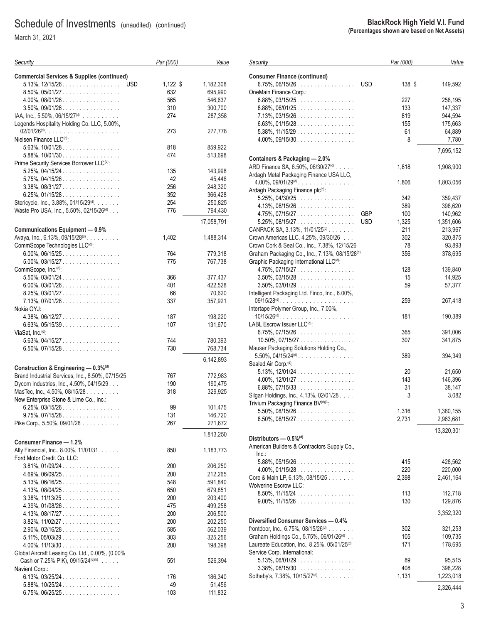March 31, 2021

| Security                                              | Par (000)  | Value      |
|-------------------------------------------------------|------------|------------|
| <b>Commercial Services &amp; Supplies (continued)</b> |            |            |
| $5.13\%$ , $12/15/26$<br><b>USD</b>                   | $1,122$ \$ | 1,182,308  |
| $8.50\%$ , $05/01/27$                                 | 632        | 695,990    |
| $4.00\%$ , $08/01/28$                                 | 565        | 546,637    |
| $3.50\%$ , 09/01/28                                   | 310        | 300,700    |
| IAA, Inc., 5.50%, 06/15/27 <sup>(d)</sup>             | 274        | 287,358    |
|                                                       |            |            |
| Legends Hospitality Holding Co. LLC, 5.00%,           | 273        | 277,778    |
| Nielsen Finance LLC <sup>(d)</sup> :                  |            |            |
| $5.63\%$ , $10/01/28$                                 | 818        | 859,922    |
| $5.88\%$ , $10/01/30$                                 | 474        | 513,698    |
| Prime Security Services Borrower LLC <sup>(d)</sup> : |            |            |
| $5.25\%$ , 04/15/24                                   | 135        |            |
|                                                       |            | 143,998    |
| $5.75\%$ , 04/15/26.                                  | 42         | 45,446     |
| $3.38\%$ , 08/31/27.                                  | 256        | 248,320    |
| $6.25\%$ , 01/15/28.                                  | 352        | 366,428    |
| Stericycle, Inc., 3.88%, 01/15/29 <sup>(d)</sup> .    | 254        | 250,825    |
| Waste Pro USA, Inc., 5.50%, 02/15/26(d).              | 776        | 794,430    |
|                                                       |            | 17,058,791 |
| Communications Equipment - 0.9%                       |            |            |
| Avaya, Inc., 6.13%, 09/15/28 <sup>(d)</sup> .         | 1,402      | 1,488,314  |
| CommScope Technologies LLC(d):                        |            |            |
| $6.00\%$ , 06/15/25                                   | 764        | 779,318    |
| $5.00\%$ , 03/15/27                                   | 775        | 767,738    |
| CommScope, Inc. <sup>(d)</sup> :                      |            |            |
| $5.50\%$ , 03/01/24                                   | 366        | 377,437    |
| $6.00\%$ , 03/01/26                                   | 401        | 422,528    |
| $8.25\%$ , 03/01/27                                   | 66         | 70,620     |
| $7.13\%$ , 07/01/28.                                  | 337        | 357,921    |
| Nokia OYJ:                                            |            |            |
| $4.38\%$ , 06/12/27.                                  | 187        | 198,220    |
| $6.63\%$ , 05/15/39                                   | 107        | 131,670    |
| ViaSat, Inc. <sup>(d)</sup> :                         |            |            |
|                                                       |            |            |
| $5.63\%$ , 04/15/27.                                  | 744        | 780,393    |
| $6.50\%$ , 07/15/28.                                  | 730        | 768,734    |
|                                                       |            | 6,142,893  |
| Construction & Engineering - 0.3% <sup>(d)</sup>      |            |            |
| Brand Industrial Services, Inc., 8.50%, 07/15/25      | 767        | 772,983    |
| Dycom Industries, Inc., 4.50%, 04/15/29.              | 190        | 190,475    |
| MasTec, Inc., 4.50%, 08/15/28.                        | 318        | 329,925    |
| New Enterprise Stone & Lime Co., Inc.:                |            |            |
| $6.25\%$ , 03/15/26                                   | 99         | 101,475    |
| $9.75\%$ , $07/15/28$                                 | 131        | 146,720    |
| Pike Corp., 5.50%, 09/01/28 $\ldots \ldots \ldots$    | 267        | 271,672    |
|                                                       |            | 1,813,250  |
| Consumer Finance - 1.2%                               |            |            |
| Ally Financial, Inc., 8.00%, 11/01/31                 | 850        | 1,183,773  |
| Ford Motor Credit Co. LLC:                            |            |            |
| $3.81\%, 01/09/24 \ldots \ldots \ldots \ldots \ldots$ | 200        | 206,250    |
|                                                       |            | 212,265    |
| $4.69\%$ , 06/09/25                                   | 200        |            |
| $5.13\%$ , 06/16/25                                   | 548        | 591,840    |
| $4.13\%$ , 08/04/25                                   | 650        | 679,851    |
| $3.38\%$ , $11/13/25$                                 | 200        | 203,400    |
| $4.39\%$ , 01/08/26                                   | 475        | 499,258    |
| $4.13\%$ , 08/17/27                                   | 200        | 206,500    |
| $3.82\%$ , $11/02/27$                                 | 200        | 202,250    |
| $2.90\%$ , 02/16/28                                   | 585        | 562,039    |
| $5.11\%$ , 05/03/29                                   | 303        | 325,256    |
| $4.00\%$ , $11/13/30$                                 | 200        | 198,398    |
| Global Aircraft Leasing Co. Ltd., 0.00%, (0.00%       |            |            |
| Cash or 7.25% PIK), 09/15/24(d)(h)                    | 551        | 526,394    |
| Navient Corp.:                                        |            |            |
| $6.13\%$ , 03/25/24                                   | 176        | 186,340    |
| $5.88\%, 10/25/24$                                    | 49         | 51,456     |
| $6.75\%$ , $06/25/25$                                 | 103        | 111,832    |
|                                                       |            |            |

| Security                                                                                                           |            | Par (000)  | Value              |
|--------------------------------------------------------------------------------------------------------------------|------------|------------|--------------------|
| <b>Consumer Finance (continued)</b><br>$6.75\%$ , 06/15/26                                                         | <b>USD</b> | 138 \$     | 149,592            |
| OneMain Finance Corp.:                                                                                             |            |            |                    |
| $6.88\%$ , 03/15/25                                                                                                |            | 227        | 258,195            |
| $8.88\%$ , 06/01/25                                                                                                |            | 133        | 147,337            |
| $7.13\%$ , 03/15/26                                                                                                |            | 819        | 944,594            |
| $6.63\%$ , 01/15/28.                                                                                               |            | 155        | 175,663            |
| $5.38\%$ , $11/15/29$                                                                                              |            | 61         | 64,889             |
| $4.00\%$ , 09/15/30                                                                                                |            | 8          | 7,780              |
|                                                                                                                    |            |            | 7,695,152          |
| Containers & Packaging - 2.0%<br>ARD Finance SA, 6.50%, 06/30/27 <sup>(d)</sup>                                    |            | 1,818      | 1,908,900          |
| Ardagh Metal Packaging Finance USA LLC,<br>$4.00\%$ , $09/01/29$ <sup>(d)</sup>                                    |            | 1,806      | 1,803,056          |
| Ardagh Packaging Finance plc(d):                                                                                   |            |            |                    |
| $5.25\%$ , 04/30/25.                                                                                               |            | 342        | 359,437            |
| $4.13\%, 08/15/26 \dots $                                                                                          |            | 389        | 398,620            |
| $4.75\%$ , 07/15/27                                                                                                | GBP        | 100        | 140,962            |
| $5.25\%$ , 08/15/27                                                                                                | <b>USD</b> | 1,325      | 1,351,606          |
| CANPACK SA, 3.13%, 11/01/25 <sup>(d)</sup> .                                                                       |            | 211        | 213,967            |
| Crown Americas LLC, 4.25%, 09/30/26                                                                                |            | 302        | 320,875            |
| Crown Cork & Seal Co., Inc., 7.38%, 12/15/26                                                                       |            | 78         | 93,893             |
| Graham Packaging Co., Inc., 7.13%, 08/15/28 <sup>(d)</sup><br>Graphic Packaging International LLC <sup>(d)</sup> : |            | 356        | 378,695            |
| 4.75%, 07/15/27                                                                                                    |            | 128        | 139,840            |
| $3.50\%$ , 03/15/28                                                                                                |            | 15         | 14,925             |
| $3.50\%$ , $03/01/29$<br>Intelligent Packaging Ltd. Finco, Inc., 6.00%,                                            |            | 59         | 57,377             |
| $09/15/28^{(d)}$<br>Intertape Polymer Group, Inc., 7.00%,                                                          |            | 259        | 267,418            |
|                                                                                                                    |            | 181        | 190,389            |
| LABL Escrow Issuer LLC <sup>(d)</sup> :                                                                            |            |            |                    |
| $6.75\%$ , 07/15/26<br>$10.50\%$ , 07/15/27                                                                        |            | 365<br>307 | 391,006<br>341,875 |
| Mauser Packaging Solutions Holding Co.,<br>$5.50\%$ , $04/15/24$ <sup>(d)</sup>                                    |            | 389        | 394,349            |
| Sealed Air Corp. <sup>(d)</sup> :                                                                                  |            |            |                    |
| $5.13\%$ , $12/01/24$                                                                                              |            | 20         | 21,650             |
| 4.00%, $12/01/27$                                                                                                  |            | 143        | 146,396            |
| $6.88\%$ , 07/15/33                                                                                                |            | 31         | 38,147             |
| Silgan Holdings, Inc., 4.13%, 02/01/28<br>Trivium Packaging Finance BV(d)(i):                                      |            | 3          | 3,082              |
| $5.50\%$ , 08/15/26                                                                                                |            | 1,316      | 1,380,155          |
| $8.50\%$ , 08/15/27                                                                                                |            | 2,731      | 2,963,681          |
| Distributors - 0.5% <sup>(d)</sup>                                                                                 |            |            | 13,320,301         |
| American Builders & Contractors Supply Co.,                                                                        |            |            |                    |
| Inc.                                                                                                               |            |            |                    |
| $5.88\%, 05/15/26 \dots  \dots $                                                                                   |            | 415        | 428,562            |
| $4.00\%$ , 01/15/28                                                                                                |            | 220        | 220,000            |
| Core & Main LP, 6.13%, 08/15/25                                                                                    |            | 2,398      | 2,461,164          |
| Wolverine Escrow LLC:                                                                                              |            |            |                    |
| $8.50\%$ , 11/15/24                                                                                                |            | 113        | 112,718            |
| $9.00\%$ , 11/15/26                                                                                                |            | 130        | 129,876            |
|                                                                                                                    |            |            | 3,352,320          |
| Diversified Consumer Services - 0.4%                                                                               |            |            |                    |
| frontdoor, Inc., 6.75%, 08/15/26 <sup>(d)</sup>                                                                    |            | 302        | 321,253            |
| Graham Holdings Co., 5.75%, 06/01/26 <sup>(d)</sup>                                                                |            | 105        | 109,735            |
| Laureate Education, Inc., 8.25%, 05/01/25 <sup>(d)</sup>                                                           |            | 171        | 178,695            |
| Service Corp. International:                                                                                       |            |            |                    |
| $5.13\%$ , 06/01/29                                                                                                |            | 89         | 95,515             |
| $3.38\%$ , 08/15/30                                                                                                |            | 408        | 398,228            |
| Sotheby's, 7.38%, 10/15/27 <sup>(d)</sup> .                                                                        |            | 1,131      | 1,223,018          |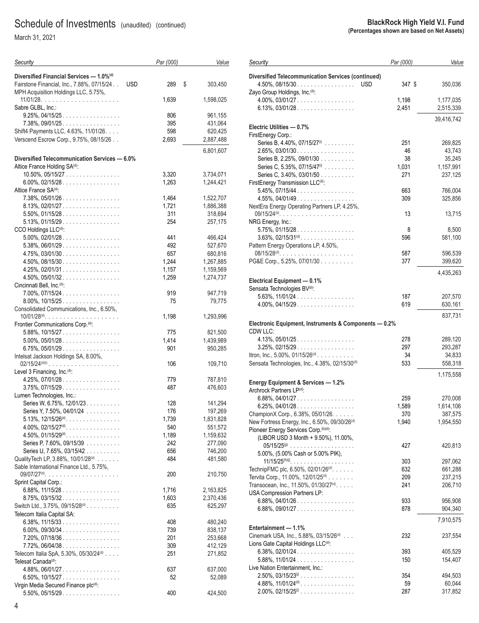| Security                                                                                                         | Par (000)  | Value              |
|------------------------------------------------------------------------------------------------------------------|------------|--------------------|
| Diversified Financial Services - 1.0% <sup>(d)</sup><br>Fairstone Financial, Inc., 7.88%, 07/15/24<br><b>USD</b> | 289        | \$<br>303,450      |
| MPH Acquisition Holdings LLC, 5.75%,                                                                             | 1,639      | 1,598,025          |
| Sabre GLBL, Inc.:                                                                                                |            |                    |
| $9.25\%$ , 04/15/25                                                                                              | 806        | 961,155            |
| $7.38\%$ , 09/01/25                                                                                              | 395        | 431,064            |
| Shift4 Payments LLC, 4.63%, 11/01/26.                                                                            | 598        | 620,425            |
| Verscend Escrow Corp., 9.75%, 08/15/26                                                                           | 2,693      | 2,887,488          |
|                                                                                                                  |            | 6,801,607          |
| Diversified Telecommunication Services — 6.0%                                                                    |            |                    |
| Altice France Holding SA(d):                                                                                     |            |                    |
| 10.50%, 05/15/27                                                                                                 | 3,320      | 3,734,071          |
| $6.00\%$ , 02/15/28.                                                                                             | 1,263      | 1,244,421          |
| Altice France SA(d):                                                                                             |            |                    |
| $7.38\%$ , $05/01/26$<br>8.13%, 02/01/27.                                                                        | 1,464      | 1,522,707          |
| $5.50\%$ , 01/15/28.                                                                                             | 1,721      | 1,886,388          |
| $5.13\%$ , 01/15/29.                                                                                             | 311<br>254 | 318,694<br>257,175 |
| CCO Holdings LLC <sup>(d)</sup> :                                                                                |            |                    |
| $5.00\%$ , 02/01/28                                                                                              | 441        | 466,424            |
| $5.38\%$ , 06/01/29.                                                                                             | 492        | 527,670            |
| $4.75\%$ , 03/01/30                                                                                              | 657        | 680,816            |
| $4.50\%$ , 08/15/30                                                                                              | 1,244      | 1,267,885          |
| $4.25\%$ , 02/01/31                                                                                              | 1,157      | 1,159,569          |
| $4.50\%$ , $05/01/32$                                                                                            | 1,259      | 1,274,737          |
| Cincinnati Bell, Inc. <sup>(d)</sup> :                                                                           |            |                    |
| $7.00\%$ , $07/15/24$                                                                                            | 919        | 947,719            |
| $8.00\%$ , 10/15/25                                                                                              | 75         | 79,775             |
| Consolidated Communications, Inc., 6.50%,                                                                        |            |                    |
| $10/01/28^{(d)}$                                                                                                 | 1,198      | 1,293,996          |
| Frontier Communications Corp. <sup>(d)</sup> :                                                                   |            |                    |
| $5.88\%, 10/15/27 \dots $                                                                                        | 775        | 821,500            |
| $5.00\%$ , $05/01/28$                                                                                            | 1,414      | 1,439,989          |
| 6.75%, 05/01/29.                                                                                                 | 901        | 950,285            |
| Intelsat Jackson Holdings SA, 8.00%,<br>$02/15/24^{(d)(i)}$                                                      | 106        | 109,710            |
| Level 3 Financing, Inc. <sup>(d)</sup> :                                                                         |            |                    |
| $4.25\%$ , 07/01/28.                                                                                             | 779        | 787,810            |
| $3.75\%$ , 07/15/29                                                                                              | 487        | 476,603            |
| Lumen Technologies, Inc.:                                                                                        |            |                    |
| Series W, 6.75%, 12/01/23.                                                                                       | 128        | 141,294            |
| Series Y, 7.50%, 04/01/24                                                                                        | 176        | 197,269            |
| $5.13\%$ , $12/15/26^{(d)}$                                                                                      | 1,739      | 1,831,828          |
| $4.00\%$ , 02/15/27 <sup>(d)</sup> .                                                                             | 540        | 551,572            |
| $4.50\%$ , $01/15/29$ <sup>(d)</sup> .                                                                           | 1,189      | 1,159,632          |
| Series P, 7.60%, 09/15/39                                                                                        | 242        | 277,090            |
| Series U, 7.65%, 03/15/42                                                                                        | 656        | 746,200            |
| Quality Tech LP, 3.88%, 10/01/28(d)                                                                              | 484        | 481,580            |
| Sable International Finance Ltd., 5.75%,                                                                         |            |                    |
| Sprint Capital Corp.:                                                                                            | 200        | 210,750            |
| 6.88%, $11/15/28$                                                                                                | 1,716      | 2,163,825          |
| 8.75%, 03/15/32.                                                                                                 | 1,603      | 2,370,436          |
| Switch Ltd., 3.75%, 09/15/28 <sup>(d)</sup> .                                                                    | 635        | 625,297            |
| Telecom Italia Capital SA:                                                                                       |            |                    |
| $6.38\%$ , 11/15/33                                                                                              | 408        | 480,240            |
| 6.00%, 09/30/34                                                                                                  | 739        | 838,137            |
| 7.20%, 07/18/36.                                                                                                 | 201        | 253,668            |
| $7.72\%$ , 06/04/38                                                                                              | 309        | 412,129            |
| Telecom Italia SpA, 5.30%, 05/30/24(d)                                                                           | 251        | 271,852            |
| Telesat Canada <sup>(d)</sup> :                                                                                  |            |                    |
| $4.88\%, 06/01/27 \dots  \dots $                                                                                 | 637        | 637,000            |
| 6.50%, $10/15/27$                                                                                                | 52         | 52,089             |
| Virgin Media Secured Finance plc(d):                                                                             |            |                    |
| $5.50\%$ , $05/15/29$                                                                                            | 400        | 424,500            |

| Security                                                                 | Par (000)   | Value               |
|--------------------------------------------------------------------------|-------------|---------------------|
| <b>Diversified Telecommunication Services (continued)</b>                |             |                     |
| $4.50\%$ , 08/15/30<br><b>USD</b><br>Zayo Group Holdings, Inc. (d):      | 347 \$      | 350,036             |
| $4.00\%$ , 03/01/27                                                      | 1,198       | 1,177,035           |
| $6.13\%$ , 03/01/28.                                                     | 2,451       | 2,515,339           |
| Electric Utilities - 0.7%                                                |             | 39,416,742          |
| FirstEnergy Corp.:                                                       |             |                     |
| Series B, 4.40%, 07/15/27 <sup>(i)</sup>                                 | 251         | 269,825             |
| $2.65\%$ , 03/01/30                                                      | 46          | 43,743              |
| Series B, 2.25%, 09/01/30<br>Series C, 5.35%, 07/15/47 <sup>(i)</sup>    | 38<br>1,031 | 35,245<br>1,157,991 |
| Series C, 3.40%, 03/01/50                                                | 271         | 237,125             |
| FirstEnergy Transmission LLC <sup>(d)</sup> :                            |             |                     |
| $5.45\%, 07/15/44$                                                       | 663         | 766,004             |
| $4.55\%$ , 04/01/49                                                      | 309         | 325,856             |
| NextEra Energy Operating Partners LP, 4.25%,                             |             |                     |
| $09/15/24(d)$<br>NRG Energy, Inc.:                                       | 13          | 13,715              |
| $5.75\%$ , 01/15/28.                                                     | 8           | 8,500               |
| $3.63\%$ , 02/15/31 <sup>(d)</sup> .                                     | 596         | 581,100             |
| Pattern Energy Operations LP, 4.50%,                                     |             |                     |
|                                                                          | 587         | 596,539             |
| PG&E Corp., 5.25%, 07/01/30                                              | 377         | 399,620             |
|                                                                          |             | 4,435,263           |
| Electrical Equipment - 0.1%<br>Sensata Technologies BV <sup>(d)</sup> :  |             |                     |
| $5.63\%$ , $11/01/24$                                                    | 187         | 207,570             |
| $4.00\%$ , $04/15/29$                                                    | 619         | 630,161             |
|                                                                          |             | 837,731             |
| Electronic Equipment, Instruments & Components - 0.2%                    |             |                     |
| CDW LLC:                                                                 |             |                     |
| $4.13\%$ , $05/01/25$                                                    | 278         | 289,120             |
| $3.25\%$ , 02/15/29.                                                     | 297         | 293,287             |
| Itron, Inc., 5.00%, 01/15/26 <sup>(d)</sup>                              | 34<br>533   | 34,833<br>558,318   |
| Sensata Technologies, Inc., 4.38%, 02/15/30 <sup>(d)</sup>               |             |                     |
| Energy Equipment & Services - 1.2%                                       |             | 1,175,558           |
| Archrock Partners LP(d):                                                 |             |                     |
| $6.88\%$ , 04/01/27                                                      | 259         | 270,008             |
| $6.25\%$ , 04/01/28.                                                     | 1,589       | 1,614,106           |
| Champion X Corp., 6.38%, 05/01/26.                                       | 370         | 387.575             |
| New Fortress Energy, Inc., 6.50%, 09/30/26 <sup>(d)</sup>                | 1,940       | 1,954,550           |
| Pioneer Energy Services Corp. (b)(d):                                    |             |                     |
| (LIBOR USD 3 Month + 9.50%), 11.00%,                                     | 427         | 420,813             |
| 5.00%, (5.00% Cash or 5.00% PIK),                                        |             |                     |
|                                                                          | 303         | 297,062             |
| TechnipFMC plc, 6.50%, 02/01/26 <sup>(d)</sup> .                         | 632         | 661,288             |
| Tervita Corp., 11.00%, 12/01/25 <sup>(d)</sup>                           | 209         | 237,215             |
| Transocean, Inc., 11.50%, 01/30/27 <sup>(d)</sup> .                      | 241         | 206,710             |
| USA Compression Partners LP:<br>$6.88\%$ , 04/01/26                      | 933         | 956,908             |
| $6.88\%$ , 09/01/27                                                      | 878         | 904,340             |
|                                                                          |             |                     |
| Entertainment - 1.1%                                                     |             | 7,910,575           |
| Cinemark USA, Inc., 5.88%, 03/15/26(d)                                   | 232         | 237,554             |
| Lions Gate Capital Holdings LLC <sup>(d)</sup> :                         |             |                     |
| $6.38\%$ , 02/01/24.                                                     | 393         | 405,529             |
| $5.88\%$ , $11/01/24$                                                    | 150         | 154,407             |
| Live Nation Entertainment, Inc.:<br>$2.50\%$ , $03/15/23$ <sup>(j)</sup> | 354         | 494,503             |
| $4.88\%$ , $11/01/24^{(d)}$                                              | 59          | 60,044              |
| $2.00\%$ , 02/15/25 <sup>(i)</sup>                                       | 287         | 317,852             |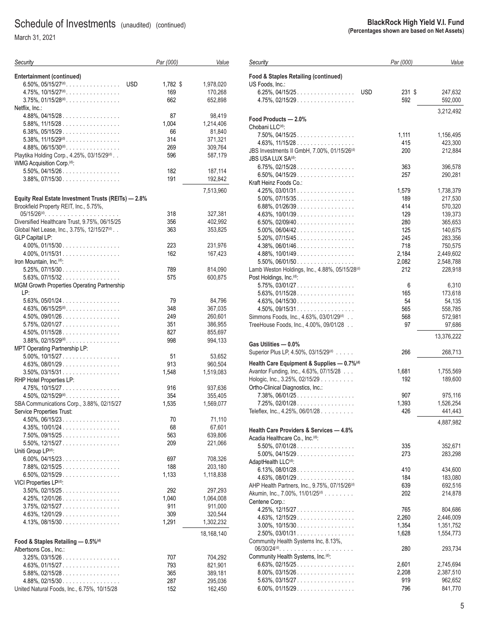| Security                                            | Par (000) | Value      |
|-----------------------------------------------------|-----------|------------|
| <b>Entertainment (continued)</b>                    |           |            |
| 6.50%, 05/15/27 <sup>(d)</sup> .<br><b>USD</b>      | 1,782 \$  | 1,978,020  |
| $4.75\%$ , $10/15/27^{(d)}$                         | 169       | 170,268    |
| $3.75\%$ , $01/15/28^{(d)}$ .                       | 662       | 652,898    |
| Netflix, Inc.:                                      |           |            |
| $4.88\%$ , 04/15/28                                 | 87        | 98,419     |
| $5.88\%$ , $11/15/28$                               | 1,004     | 1,214,406  |
| $6.38\%$ , 05/15/29                                 | 66        | 81,840     |
| $5.38\%$ , $11/15/29^{(d)}$                         | 314       | 371,321    |
| $4.88\%$ , $06/15/30^{(d)}$ .                       | 269       | 309,764    |
| Playtika Holding Corp., 4.25%, 03/15/29(d)          | 596       | 587,179    |
| WMG Acquisition Corp. <sup>(d)</sup> :              |           |            |
| $5.50\%$ , 04/15/26                                 | 182       | 187,114    |
| $3.88\%$ , 07/15/30                                 | 191       | 192,842    |
|                                                     |           |            |
|                                                     |           | 7,513,960  |
| Equity Real Estate Investment Trusts (REITs) - 2.8% |           |            |
| Brookfield Property REIT, Inc., 5.75%,              |           |            |
|                                                     | 318       | 327,381    |
| Diversified Healthcare Trust, 9.75%, 06/15/25       | 356       | 402,992    |
| Global Net Lease, Inc., 3.75%, 12/15/27(d)          | 363       | 353,825    |
| <b>GLP Capital LP:</b>                              |           |            |
| $4.00\%$ , 01/15/30                                 | 223       | 231,976    |
| $4.00\%$ , $01/15/31$                               | 162       | 167,423    |
| Iron Mountain, Inc. <sup>(d)</sup> :                |           |            |
| $5.25\%$ , 07/15/30                                 | 789       | 814,090    |
| $5.63\%$ , $07/15/32$                               | 575       | 600,875    |
| MGM Growth Properties Operating Partnership         |           |            |
| LP:                                                 |           |            |
| $5.63\%$ , $05/01/24$                               | 79        | 84,796     |
| $4.63\%$ , $06/15/25^{(d)}$ .                       | 348       | 367,035    |
| $4.50\%$ , 09/01/26                                 | 249       | 260,601    |
| $5.75\%$ , 02/01/27                                 | 351       | 386,955    |
| $4.50\%$ , 01/15/28                                 | 827       | 855,697    |
| $3.88\%$ , $02/15/29^{(d)}$ .                       | 998       | 994,133    |
| MPT Operating Partnership LP:                       |           |            |
| $5.00\%$ , $10/15/27$                               | 51        | 53,652     |
| $4.63\%$ , 08/01/29.                                | 913       | 960,504    |
| $3.50\%$ , 03/15/31                                 | 1,548     | 1,519,083  |
| RHP Hotel Properties LP:                            |           |            |
| $4.75\%$ , $10/15/27$                               | 916       | 937,636    |
| $4.50\%$ , $02/15/29$ <sup>(d)</sup>                | 354       | 355,405    |
|                                                     | 1,535     | 1,569,077  |
| SBA Communications Corp., 3.88%, 02/15/27           |           |            |
| Service Properties Trust:                           |           | 71,110     |
| $4.50\%$ , 06/15/23.                                | 70        |            |
| $4.35\%$ , 10/01/24                                 | 68        | 67,601     |
| 7.50%, 09/15/25.                                    | 563       | 639,806    |
| $5.50\%$ , 12/15/27                                 | 209       | 221,066    |
| Uniti Group LP(d):                                  |           |            |
| $6.00\%$ , 04/15/23                                 | 697       | 708,326    |
| $7.88\%$ , 02/15/25.                                | 188       | 203,180    |
| $6.50\%$ , 02/15/29.                                | 1,133     | 1,118,838  |
| VICI Properties LP(d):                              |           |            |
| $3.50\%$ , 02/15/25.                                | 292       | 297,293    |
| $4.25\%$ , 12/01/26.                                | 1,040     | 1,064,008  |
| $3.75\%$ , 02/15/27                                 | 911       | 911,000    |
| $4.63\%$ , $12/01/29$                               | 309       | 320,544    |
| $4.13\%$ , 08/15/30                                 | 1,291     | 1,302,232  |
|                                                     |           |            |
|                                                     |           | 18,168,140 |
| Food & Staples Retailing - 0.5% <sup>(d)</sup>      |           |            |
| Albertsons Cos., Inc.:                              |           |            |
| $3.25\%$ , 03/15/26                                 | 707       | 704,292    |
| $4.63\%$ , 01/15/27                                 | 793       | 821,901    |
| $5.88\%$ , 02/15/28.                                | 365       | 389,181    |
| $4.88\%$ , 02/15/30                                 | 287       | 295,036    |
| United Natural Foods, Inc., 6.75%, 10/15/28         | 152       | 162,450    |

| Security                                                                                   | Par (000)     | Value              |
|--------------------------------------------------------------------------------------------|---------------|--------------------|
| Food & Staples Retailing (continued)<br>US Foods, Inc.:                                    |               |                    |
| $6.25\%$ , 04/15/25.<br><b>USD</b><br>$4.75\%$ , 02/15/29                                  | 231 \$<br>592 | 247,632<br>592,000 |
| Food Products - 2.0%                                                                       |               | 3,212,492          |
| Chobani LLC <sup>(d)</sup> :                                                               |               |                    |
| 7.50%, 04/15/25                                                                            | 1,111         | 1,156,495          |
| $4.63\%$ , $11/15/28$                                                                      | 415           | 423,300            |
| JBS Investments II GmbH, 7.00%, 01/15/26 <sup>(d)</sup><br>JBS USA LUX SA <sup>(d)</sup> . | 200           | 212,884            |
| 6.75%, 02/15/28                                                                            | 363           | 396,578            |
| $6.50\%$ , 04/15/29                                                                        | 257           | 290,281            |
| Kraft Heinz Foods Co.:                                                                     |               |                    |
| $4.25\%, 03/01/31$                                                                         | 1,579         | 1,738,379          |
| 5.00%, 07/15/35                                                                            | 189           | 217,530            |
| $6.88\%, 01/26/39 \dots  \dots $                                                           | 414           | 570,320            |
| $4.63\%$ , 10/01/39                                                                        | 129           | 139,373            |
| $6.50\%$ , 02/09/40                                                                        | 280           | 365,653            |
| $5.00\%$ , 06/04/42                                                                        | 125           | 140,675            |
| $5.20\%$ , 07/15/45                                                                        | 245           | 283,356            |
| $4.38\%$ , 06/01/46                                                                        | 718           | 750,575            |
| $4.88\%, 10/01/49 \dots  \dots $                                                           | 2,184         | 2,449,602          |
| 5.50%, 06/01/50                                                                            | 2,082         | 2,548,788          |
| Lamb Weston Holdings, Inc., 4.88%, 05/15/28(d)                                             | 212           | 228,918            |
| Post Holdings, Inc. <sup>(d)</sup> :                                                       |               |                    |
| $5.75\%$ , 03/01/27                                                                        | 6             | 6,310              |
| $5.63\%$ , 01/15/28                                                                        | 165           | 173,618            |
| $4.63\%$ , $04/15/30$                                                                      | 54            | 54,135             |
| $4.50\%$ , 09/15/31                                                                        | 565           | 558,785            |
| Simmons Foods, Inc., 4.63%, 03/01/29 <sup>(d)</sup>                                        | 568           | 572,981            |
| TreeHouse Foods, Inc., 4.00%, 09/01/28                                                     | 97            | 97,686             |
|                                                                                            |               | 13,376,222         |
| Gas Utilities - 0.0%<br>Superior Plus LP, 4.50%, 03/15/29 <sup>(d)</sup>                   | 266           | 268,713            |
|                                                                                            |               |                    |
| Health Care Equipment & Supplies - 0.7% <sup>(d)</sup>                                     |               |                    |
| Avantor Funding, Inc., 4.63%, 07/15/28<br>Hologic, Inc., 3.25%, 02/15/29                   | 1,681<br>192  | 1,755,569          |
| Ortho-Clinical Diagnostics, Inc.:                                                          |               | 189,600            |
| 7.38%, 06/01/25                                                                            | 907           | 975,116            |
| $7.25\%$ , 02/01/28.                                                                       | 1,393         | 1,526,254          |
| Teleflex, Inc., 4.25%, 06/01/28.                                                           | 426           | 441,443            |
|                                                                                            |               |                    |
|                                                                                            |               | 4,887,982          |
| <b>Health Care Providers &amp; Services - 4.8%</b>                                         |               |                    |
| Acadia Healthcare Co., Inc. <sup>(d)</sup> :                                               |               |                    |
| 5.50%, 07/01/28                                                                            | 335           | 352,671            |
| $5.00\%$ , 04/15/29.<br>AdaptHealth LLC <sup>(d)</sup> :                                   | 273           | 283,298            |
| $6.13\%$ , 08/01/28                                                                        | 410           | 434,600            |
| $4.63\%$ , 08/01/29                                                                        | 184           | 183,080            |
| AHP Health Partners, Inc., 9.75%, 07/15/26 <sup>(d)</sup>                                  | 639           | 692,516            |
| Akumin, Inc., 7.00%, 11/01/25 <sup>(d)</sup>                                               | 202           | 214,878            |
| Centene Corp.:                                                                             |               |                    |
| 4.25%, 12/15/27                                                                            | 765           | 804,686            |
| $4.63\%$ , 12/15/29                                                                        | 2,260         | 2,446,009          |
| 3.00%, 10/15/30                                                                            | 1,354         | 1,351,752          |
| $2.50\%$ , 03/01/31                                                                        | 1,628         | 1,554,773          |
| Community Health Systems Inc, 8.13%,                                                       |               |                    |
| $06/30/24(d)$<br>a a shekara                                                               | 280           | 293,734            |
| Community Health Systems, Inc. <sup>(d)</sup> :                                            |               |                    |
| $6.63\%$ , 02/15/25                                                                        | 2,601         | 2,745,694          |
| $8.00\%$ , 03/15/26                                                                        | 2,208         | 2,387,510          |
| 5.63%, 03/15/27                                                                            | 919           | 962,652            |
| $6.00\%$ , 01/15/29                                                                        | 796           | 841,770            |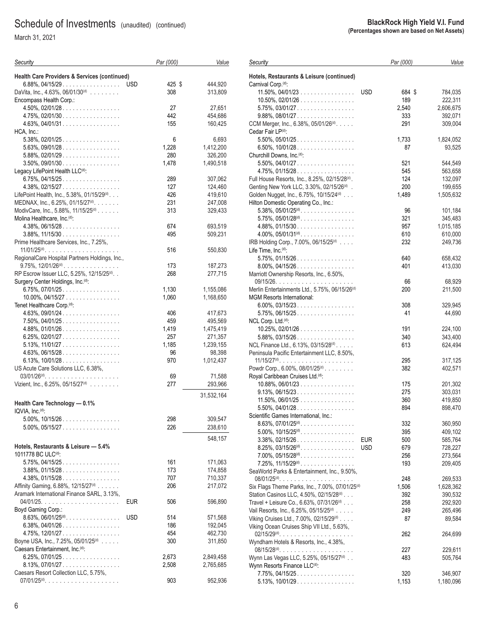March 31, 2021

| Security                                                         | Par (000)            | Value      |
|------------------------------------------------------------------|----------------------|------------|
| Health Care Providers & Services (continued)                     |                      |            |
| 6.88%, 04/15/29.<br>DaVita, Inc., 4.63%, 06/01/30 <sup>(d)</sup> | <b>USD</b><br>425 \$ | 444,920    |
| Encompass Health Corp.:                                          | 308                  | 313,809    |
|                                                                  |                      |            |
| $4.50\%$ , 02/01/28                                              | 27<br>442            | 27,651     |
| $4.75\%$ , 02/01/30                                              |                      | 454,686    |
| $4.63\%$ , 04/01/31                                              | 155                  | 160,425    |
| HCA, Inc.:                                                       |                      |            |
| $5.38\%$ , 02/01/25                                              | 6                    | 6,693      |
| $5.63\%$ , 09/01/28                                              | 1,228                | 1,412,200  |
| $5.88\%, 02/01/29 \dots  \dots $                                 | 280                  | 326,200    |
| $3.50\%$ , 09/01/30                                              | 1,478                | 1,490,518  |
| Legacy LifePoint Health LLC <sup>(d)</sup> :                     |                      |            |
| $6.75\%$ , 04/15/25                                              | 289                  | 307,062    |
| $4.38\%$ , 02/15/27                                              | 127                  | 124,460    |
| LifePoint Health, Inc., 5.38%, 01/15/29(d).                      | 426                  | 419,610    |
| MEDNAX, Inc., 6.25%, 01/15/27 <sup>(d)</sup> .                   | 231                  | 247,008    |
| ModivCare, Inc., 5.88%, 11/15/25 <sup>(d)</sup>                  | 313                  | 329,433    |
| Molina Healthcare, Inc. <sup>(d)</sup> :                         |                      |            |
| $4.38\%$ , 06/15/28                                              | 674                  | 693,519    |
| $3.88\%, 11/15/30 \dots  \dots $                                 | 495                  | 509,231    |
| Prime Healthcare Services, Inc., 7.25%,                          |                      |            |
| $11/01/25$ <sup>(d)</sup>                                        | 516                  | 550,830    |
| RegionalCare Hospital Partners Holdings, Inc.,                   |                      |            |
| $9.75\%$ , $12/01/26$ <sup>(d)</sup>                             | 173                  | 187,273    |
| RP Escrow Issuer LLC, 5.25%, 12/15/25(d). .                      | 268                  | 277,715    |
| Surgery Center Holdings, Inc. (d):                               |                      |            |
| $6.75\%$ , 07/01/25.                                             | 1,130                | 1,155,086  |
| $10.00\%$ , 04/15/27                                             | 1,060                | 1,168,650  |
| Tenet Healthcare Corp. <sup>(d)</sup> :                          |                      |            |
| $4.63\%$ , 09/01/24                                              | 406                  | 417,673    |
| $7.50\%$ , 04/01/25                                              | 459                  | 495,569    |
| $4.88\%, 01/01/26 \dots  \dots $                                 | 1,419                | 1,475,419  |
|                                                                  |                      |            |
| $6.25\%$ , 02/01/27                                              | 257                  | 271,357    |
| $5.13\%$ , $11/01/27$                                            | 1,185                | 1,239,155  |
| $4.63\%$ , 06/15/28.                                             | 96                   | 98,398     |
| 6.13%, $10/01/28$                                                | 970                  | 1,012,437  |
| US Acute Care Solutions LLC, 6.38%,                              |                      |            |
|                                                                  | 69                   | 71,588     |
| Vizient, Inc., 6.25%, 05/15/27 <sup>(d)</sup>                    | 277                  | 293,966    |
|                                                                  |                      | 31,532,164 |
| Health Care Technology - 0.1%                                    |                      |            |
| IQVIA, Inc. <sup>(d)</sup> :                                     |                      |            |
| $5.00\%$ , $10/15/26$                                            | 298                  | 309,547    |
| $5.00\%$ , $05/15/27$                                            | 226                  | 238,610    |
|                                                                  |                      |            |
|                                                                  |                      | 548,157    |
| Hotels, Restaurants & Leisure - 5.4%                             |                      |            |
| 1011778 BC ULC <sup>(d)</sup> :                                  |                      |            |
| $5.75\%$ , 04/15/25                                              | 161                  | 171,063    |
| $3.88\%$ , 01/15/28                                              | 173                  | 174,858    |
| $4.38\%$ , 01/15/28.                                             | 707                  | 710,337    |
| Affinity Gaming, 6.88%, 12/15/27(d)                              | 206                  | 217,072    |
| Aramark International Finance SARL, 3.13%,                       |                      |            |
|                                                                  | EUR<br>506           | 596,890    |
| Boyd Gaming Corp.:                                               |                      |            |
| $8.63\%$ , $06/01/25^{(d)}$                                      | <b>USD</b><br>514    | 571,568    |
| $6.38\%$ , 04/01/26.                                             | 186                  | 192,045    |
| 4.75%, 12/01/27                                                  | 454                  | 462,730    |
| Boyne USA, Inc., 7.25%, 05/01/25(d)                              | 300                  | 311,850    |
| Caesars Entertainment, Inc. <sup>(d)</sup> :                     |                      |            |
| $6.25\%$ , 07/01/25                                              | 2,673                | 2,849,458  |
| $8.13\%$ , 07/01/27                                              | 2,508                | 2,765,685  |
| Caesars Resort Collection LLC, 5.75%,                            |                      |            |
|                                                                  | 903                  | 952,936    |
|                                                                  |                      |            |

|                                                                 | <b>BlackRock High Yield V.I. Fund</b><br>(Percentages shown are based on Net Assets) |           |           |
|-----------------------------------------------------------------|--------------------------------------------------------------------------------------|-----------|-----------|
|                                                                 |                                                                                      |           |           |
| Security                                                        |                                                                                      | Par (000) | Value     |
| Hotels, Restaurants & Leisure (continued)                       |                                                                                      |           |           |
| Carnival Corp. <sup>(d)</sup> :                                 |                                                                                      |           |           |
| $11.50\%$ , 04/01/23                                            | <b>USD</b>                                                                           | 684 \$    | 784,035   |
| $10.50\%$ , 02/01/26                                            |                                                                                      | 189       | 222,311   |
| $5.75\%$ , 03/01/27                                             |                                                                                      | 2,540     | 2,606,675 |
| $9.88\%$ , 08/01/27                                             |                                                                                      | 333       | 392,071   |
| CCM Merger, Inc., 6.38%, 05/01/26 <sup>(d)</sup> .              |                                                                                      | 291       | 309,004   |
| Cedar Fair LP(d):                                               |                                                                                      |           |           |
| $5.50\%$ , $05/01/25$                                           |                                                                                      | 1,733     | 1,824,052 |
| $6.50\%$ , 10/01/28                                             |                                                                                      | 87        | 93,525    |
| Churchill Downs, Inc. <sup>(d)</sup> :                          |                                                                                      |           |           |
| $5.50\%$ , 04/01/27                                             |                                                                                      | 521       | 544,549   |
| $4.75\%$ , 01/15/28                                             |                                                                                      | 545       | 563,658   |
| Full House Resorts, Inc., 8.25%, 02/15/28 <sup>(d)</sup> .      |                                                                                      | 124       | 132,097   |
| Genting New York LLC, 3.30%, 02/15/26(d).                       |                                                                                      | 200       | 199,655   |
| Golden Nugget, Inc., 6.75%, 10/15/24(d)                         |                                                                                      | 1,489     | 1,505,632 |
| Hilton Domestic Operating Co., Inc.:                            |                                                                                      |           |           |
| $5.38\%$ , $05/01/25^{(d)}$ .                                   |                                                                                      | 96        | 101,184   |
| $5.75\%$ , $05/01/28$ <sup>(d)</sup> .                          |                                                                                      | 321       | 345,483   |
| $4.88\%, 01/15/30. \ldots \ldots \ldots \ldots \ldots$          |                                                                                      | 957       | 1,015,185 |
| $4.00\%$ , $05/01/31^{(d)}$ .                                   |                                                                                      | 610       | 610,000   |
| IRB Holding Corp., 7.00%, 06/15/25(d)                           |                                                                                      | 232       | 249,736   |
| Life Time, Inc.(d):                                             |                                                                                      |           |           |
| $5.75\%$ , 01/15/26.                                            |                                                                                      | 640       | 658,432   |
|                                                                 |                                                                                      | 401       |           |
| $8.00\%$ , 04/15/26<br>Marriott Ownership Resorts, Inc., 6.50%, |                                                                                      |           | 413,030   |
|                                                                 |                                                                                      |           |           |
|                                                                 |                                                                                      | 66        | 68,929    |
| Merlin Entertainments Ltd., 5.75%, 06/15/26 <sup>(d)</sup>      |                                                                                      | 200       | 211,500   |
| <b>MGM Resorts International:</b>                               |                                                                                      |           |           |
| $6.00\%$ , 03/15/23                                             |                                                                                      | 308       | 329,945   |
| $5.75\%$ , 06/15/25                                             |                                                                                      | 41        | 44,690    |
| NCL Corp. Ltd. <sup>(d)</sup> :                                 |                                                                                      |           |           |
| $10.25\%$ , $02/01/26$                                          |                                                                                      | 191       | 224,100   |
| $5.88\%$ , 03/15/26                                             |                                                                                      | 340       | 343,400   |
| NCL Finance Ltd., 6.13%, 03/15/28(d).                           |                                                                                      | 613       | 624,494   |
| Peninsula Pacific Entertainment LLC, 8.50%,                     |                                                                                      |           |           |
|                                                                 |                                                                                      | 295       | 317,125   |
| Powdr Corp., 6.00%, 08/01/25 <sup>(d)</sup>                     |                                                                                      | 382       | 402,571   |
| Roval Caribbean Cruises Ltd. <sup>(d)</sup> :                   |                                                                                      |           |           |
| $10.88\%$ , $06/01/23$                                          |                                                                                      | 175       | 201,302   |
| $9.13\%$ , 06/15/23                                             |                                                                                      | 275       | 303,031   |
| $11.50\%$ , 06/01/25                                            |                                                                                      | 360       | 419,850   |
| $5.50\%$ , 04/01/28.                                            |                                                                                      | 894       | 898,470   |
| Scientific Games International, Inc.:                           |                                                                                      |           |           |
| $8.63\%$ , $07/01/25$ <sup>(d)</sup> .                          |                                                                                      | 332       | 360,950   |
| $5.00\%$ , $10/15/25^{(d)}$ .                                   |                                                                                      | 395       | 409,102   |
| $3.38\%$ , 02/15/26.                                            | <b>EUR</b>                                                                           | 500       | 585,764   |
| $8.25\%$ , $03/15/26$ <sup>(d)</sup> .                          | <b>USD</b>                                                                           | 679       | 728,227   |
| $7.00\%$ , $05/15/28$ <sup>(d)</sup>                            |                                                                                      | 256       | 273,564   |
| $7.25\%$ , $11/15/29^{(d)}$                                     |                                                                                      | 193       | 209,405   |
| SeaWorld Parks & Entertainment, Inc., 9.50%,                    |                                                                                      |           |           |
|                                                                 |                                                                                      | 248       | 269,533   |
| Six Flags Theme Parks, Inc., 7.00%, 07/01/25 <sup>(d)</sup>     |                                                                                      | 1,506     | 1,628,362 |
| Station Casinos LLC, 4.50%, 02/15/28(d)                         |                                                                                      | 392       | 390,532   |
| Travel + Leisure Co., 6.63%, 07/31/26(d)                        |                                                                                      | 258       | 292,920   |
| Vail Resorts, Inc., 6.25%, 05/15/25(d)                          |                                                                                      | 249       | 265,496   |
| Viking Cruises Ltd., 7.00%, 02/15/29(d)                         |                                                                                      | 87        | 89,584    |
|                                                                 |                                                                                      |           |           |

Viking Ocean Cruises Ship VII Ltd., 5.63%,

Wyndham Hotels & Resorts, Inc., 4.38%,

Wynn Resorts Finance LLC<sup>(d)</sup>:

02/15/29(d).................... 262 264,699

08/15/28(d).................... 227 229,611 Wynn Las Vegas LLC, 5.25%, 05/15/27<sup>(d)</sup> . . 483 483 505,764

 7.75%, 04/15/25 ................. 320 346,907 5.13%, 10/01/29 ................. 1,153 1,180,096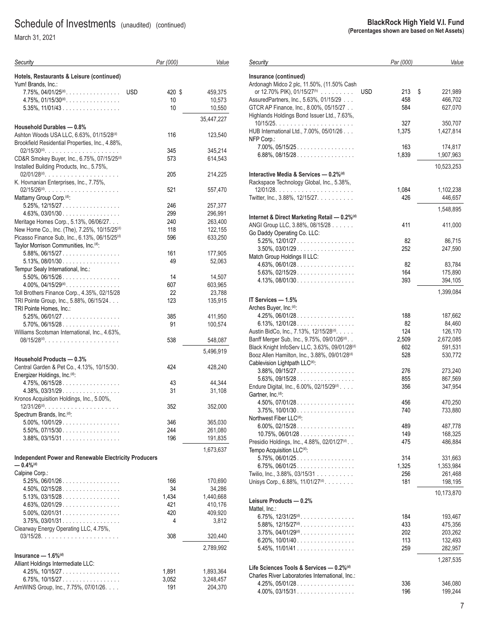March 31, 2021

| Security                                                                                                              | Par (000)            | Value              |
|-----------------------------------------------------------------------------------------------------------------------|----------------------|--------------------|
| Hotels, Restaurants & Leisure (continued)<br>Yum! Brands, Inc.:                                                       |                      |                    |
| $7.75\%$ , 04/01/25 <sup>(d)</sup> .                                                                                  | <b>USD</b><br>420 \$ | 459,375            |
| $4.75\%$ , $01/15/30$ <sup>(d)</sup>                                                                                  | 10                   | 10,573             |
| $5.35\%$ , 11/01/43                                                                                                   | 10                   | 10,550             |
| Household Durables - 0.8%                                                                                             |                      | 35,447,227         |
| Ashton Woods USA LLC, 6.63%, 01/15/28(d)                                                                              | 116                  | 123,540            |
| Brookfield Residential Properties, Inc., 4.88%,                                                                       |                      |                    |
|                                                                                                                       | 345                  | 345,214            |
| CD&R Smokey Buyer, Inc., 6.75%, 07/15/25 <sup>(d)</sup>                                                               | 573                  | 614,543            |
| Installed Building Products, Inc., 5.75%,                                                                             | 205                  | 214,225            |
| K. Hovnanian Enterprises, Inc., 7.75%,                                                                                |                      |                    |
|                                                                                                                       | 521                  | 557,470            |
| Mattamy Group Corp. <sup>(d)</sup> :                                                                                  |                      |                    |
| $5.25\%$ , 12/15/27                                                                                                   | 246                  | 257,377            |
| $4.63\%$ , 03/01/30                                                                                                   | 299                  | 296,991            |
| Meritage Homes Corp., 5.13%, 06/06/27.                                                                                | 240                  | 263,400            |
| New Home Co., Inc. (The), 7.25%, 10/15/25 <sup>(d)</sup><br>Picasso Finance Sub, Inc., 6.13%, 06/15/25 <sup>(d)</sup> | 118<br>596           | 122,155<br>633,250 |
| Taylor Morrison Communities, Inc. <sup>(d)</sup> :                                                                    |                      |                    |
| $5.88\%$ , 06/15/27                                                                                                   | 161                  | 177,905            |
| $5.13\%$ , 08/01/30                                                                                                   | 49                   | 52,063             |
| Tempur Sealy International, Inc.:                                                                                     |                      |                    |
| $5.50\%$ , 06/15/26                                                                                                   | 14                   | 14.507             |
| $4.00\%$ , $04/15/29$ <sup>(d)</sup> .                                                                                | 607                  | 603,965            |
| Toll Brothers Finance Corp., 4.35%, 02/15/28<br>TRI Pointe Group, Inc., 5.88%, 06/15/24.                              | 22<br>123            | 23,788<br>135,915  |
| TRI Pointe Homes, Inc.:                                                                                               |                      |                    |
| $5.25\%$ , 06/01/27                                                                                                   | 385                  | 411,950            |
| $5.70\%$ , 06/15/28.                                                                                                  | 91                   | 100,574            |
| Williams Scotsman International, Inc., 4.63%,                                                                         |                      |                    |
| 08/15/28 <sup>(d)</sup>                                                                                               | 538                  | 548,087            |
| Household Products - 0.3%                                                                                             |                      | 5,496,919          |
| Central Garden & Pet Co., 4.13%, 10/15/30.                                                                            | 424                  | 428,240            |
| Energizer Holdings, Inc. <sup>(d)</sup> :                                                                             |                      |                    |
| $4.75\%$ , 06/15/28                                                                                                   | 43                   | 44,344             |
| $4.38\%, 03/31/29 \dots  \dots $                                                                                      | 31                   | 31,108             |
| Kronos Acquisition Holdings, Inc., 5.00%,                                                                             |                      |                    |
| Spectrum Brands, Inc. <sup>(d)</sup> :                                                                                | 352                  | 352,000            |
| $5.00\%$ , $10/01/29$                                                                                                 | 346                  | 365,030            |
| 5.50%, 07/15/30                                                                                                       | 244                  | 261,080            |
| 3.88%, 03/15/31                                                                                                       | 196                  | 191,835            |
|                                                                                                                       |                      | 1,673,637          |
| <b>Independent Power and Renewable Electricity Producers</b><br>$-0.4\%$ <sup>(d)</sup>                               |                      |                    |
| Calpine Corp.:                                                                                                        |                      |                    |
| $5.25\%$ , 06/01/26.                                                                                                  | 166                  | 170,690            |
| 4.50%, 02/15/28                                                                                                       | 34                   | 34,286             |
| $5.13\%$ , 03/15/28<br>$4.63\%$ , 02/01/29.                                                                           | 1,434<br>421         | 1,440,668          |
| $5.00\%$ , 02/01/31                                                                                                   | 420                  | 410,176<br>409,920 |
| $3.75\%$ , 03/01/31                                                                                                   | 4                    | 3,812              |
| Clearway Energy Operating LLC, 4.75%,                                                                                 |                      |                    |
|                                                                                                                       | 308                  | 320,440            |
|                                                                                                                       |                      | 2,789,992          |
| Insurance $-$ 1.6% $(d)$                                                                                              |                      |                    |
| Alliant Holdings Intermediate LLC:                                                                                    |                      |                    |
| 4.25%, 10/15/27                                                                                                       | 1,891                | 1,893,364          |
| $6.75\%$ , 10/15/27                                                                                                   | 3,052                | 3,248,457          |
| AmWINS Group, Inc., 7.75%, 07/01/26.                                                                                  | 191                  | 204,370            |

#### **Insurance (continued)** Ardonagh Midco 2 plc, 11.50%, (11.50% Cash or 12.70% PIK), 01/15/27(h) ......... USD 213 \$ 221,989 AssuredPartners, Inc., 5.63%, 01/15/29 ... 458 466,702 GTCR AP Finance, Inc., 8.00%, 05/15/27 . . 584 627,070 Highlands Holdings Bond Issuer Ltd., 7.63%, 10/15/25..................... 327 350,707 HUB International Ltd., 7.00%, 05/01/26 . . . 1,375 1,427,814 7.00%, 05/15/25 ................. 163 174,817 6.88%, 08/15/28 ................. 1,839 1,907,963 10,523,253 **Interactive Media & Services — 0.2%(d)** Rackspace Technology Global, Inc., 5.38%, 12/01/28..................... 1,084 1,102,238 Twitter, Inc., 3.88%, 12/15/27. . . . . . . . . . . . . . . 426 446,657 1,548,895 **Internet & Direct Marketing Retail — 0.2%(d)** ANGI Group LLC, 3.88%, 08/15/28 . . . . . . . . . . . . 411 411,000 Go Daddy Operating Co. LLC: 5.25%, 12/01/27 ................. 82 86,715 3.50%, 03/01/29 ................. 252 247,590 Match Group Holdings II LLC: 4.63%, 06/01/28 ................. 82 83,784 5.63%, 02/15/29 ................. 164 175,890 4.13%, 08/01/30 ................. 393 394,105 1,399,084 **IT Services — 1.5%** Arches Buyer, Inc.<sup>(d)</sup>: 4.25%, 06/01/28 ................. 188 187,662 6.13%, 12/01/28 ................. 82 84,460 Austin BidCo, Inc., 7.13%, 12/15/28<sup>(d)</sup>..... 125 124 126,170 Banff Merger Sub, Inc., 9.75%, 09/01/26<sup>(d)</sup>. . 2,509 2,672,085 Black Knight InfoServ LLC, 3.63%, 09/01/28<sup>(d)</sup> 602 591,531 Booz Allen Hamilton, Inc., 3.88%, 09/01/28<sup>(d)</sup> 528 530,772 Cablevision Lightpath LLC<sup>(d)</sup>: 3.88%, 09/15/27 ................. 276 273,240 5.63%, 09/15/28 ................. 855 867,569 Endure Digital, Inc., 6.00%, 02/15/29<sup>(d)</sup> . . . . Gartner, Inc.<sup>(d)</sup>: 4.50%, 07/01/28 ................. 456 470,250 3.75%, 10/01/30 ................. 740 733,880 Northwest Fiber LLC<sup>(d)</sup>: 6.00%, 02/15/28 ................. 489 487,778  $10.75\%, 06/01/28... \ldots \ldots \ldots$ Presidio Holdings, Inc., 4.88%, 02/01/27<sup>(d)</sup> . . 475 486,884 Tempo Acquisition LLC<sup>(d)</sup>: 5.75%, 06/01/25 ................. 314 331,663 6.75%, 06/01/25 ................. 1,325 1,353,984 Twilio, Inc., 3.88%, 03/15/31 .......... 256 261,468 Unisys Corp., 6.88%, 11/01/27<sup>(d)</sup> ........ 181 181 198,195 10,173,870 **Leisure Products — 0.2%** 6.75%, 12/31/25(d) ................ 184 193,467 5.88%, 12/15/27(d) ................ 433 475,356 3.75%, 04/01/29(d) ................ 202 203,262 6.20%, 10/01/40 ................. 113 132,493 5.45%, 11/01/41 ................. 259 282,957 1,287,535 **Life Sciences Tools & Services — 0.2%(d)** Charles River Laboratories International, Inc.:

 4.25%, 05/01/28 ................. 336 346,080 4.00%, 03/15/31 ................. 196 199,244

#### **BlackRock High Yield V.I. Fund (Percentages shown are based on Net Assets)**

*Par (000) Value*

*Security*

NFP Corp.:

Mattel, Inc.: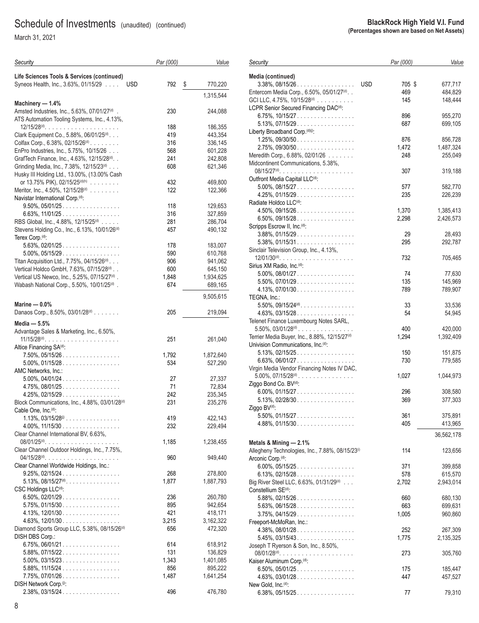March 31, 2021

| Security                                                                                                  | Par (000) | Value                |
|-----------------------------------------------------------------------------------------------------------|-----------|----------------------|
| Life Sciences Tools & Services (continued)<br>Syneos Health, Inc., 3.63%, 01/15/29<br><b>USD</b>          | 792       | \$<br>770,220        |
|                                                                                                           |           | 1,315,544            |
| Machinery - 1.4%                                                                                          |           |                      |
| Amsted Industries, Inc., 5.63%, 07/01/27 <sup>(d)</sup> .<br>ATS Automation Tooling Systems, Inc., 4.13%, | 230       | 244,088              |
|                                                                                                           | 188       | 186,355              |
| Clark Equipment Co., 5.88%, 06/01/25(d)                                                                   | 419       | 443,354              |
| Colfax Corp., $6.38\%$ , $02/15/26^{(d)}$                                                                 | 316       | 336,145              |
| EnPro Industries, Inc., 5.75%, 10/15/26                                                                   | 568       | 601,228              |
| GrafTech Finance, Inc., 4.63%, 12/15/28(d). .                                                             | 241       | 242,808              |
| Grinding Media, Inc., 7.38%, 12/15/23(d)<br>Husky III Holding Ltd., 13.00%, (13.00% Cash                  | 608       | 621,346              |
| or 13.75% PIK), 02/15/25(d)(h)                                                                            | 432       | 469,800              |
| Meritor, Inc., 4.50%, 12/15/28 <sup>(d)</sup>                                                             | 122       | 122,366              |
| Navistar International Corp. <sup>(d)</sup> :                                                             |           |                      |
| $9.50\%$ , 05/01/25                                                                                       | 118       | 129,653              |
| $6.63\%$ , 11/01/25                                                                                       | 316       | 327,859              |
| RBS Global, Inc., 4.88%, 12/15/25 <sup>(d)</sup>                                                          | 281       | 286,704              |
| Stevens Holding Co., Inc., 6.13%, 10/01/26 <sup>(d)</sup>                                                 | 457       | 490,132              |
| Terex Corp. <sup>(d)</sup> :                                                                              |           |                      |
| $5.63\%$ , 02/01/25.                                                                                      | 178       | 183,007              |
| $5.00\%$ , 05/15/29.                                                                                      | 590       | 610,768              |
| Titan Acquisition Ltd., 7.75%, 04/15/26(d)                                                                | 906       | 941,062              |
|                                                                                                           |           |                      |
| Vertical Holdco GmbH, 7.63%, 07/15/28(d)                                                                  | 600       | 645,150              |
| Vertical US Newco, Inc., 5.25%, 07/15/27(d).                                                              | 1,848     | 1,934,625            |
| Wabash National Corp., 5.50%, 10/01/25 <sup>(d)</sup> .                                                   | 674       | 689,165<br>9,505,615 |
| Marine $-0.0%$                                                                                            |           |                      |
| Danaos Corp., 8.50%, 03/01/28 <sup>(d)</sup>                                                              | 205       | 219,094              |
|                                                                                                           |           |                      |
| Media $-5.5%$                                                                                             |           |                      |
| Advantage Sales & Marketing, Inc., 6.50%,                                                                 |           |                      |
| $11/15/28^{(d)}$                                                                                          | 251       | 261,040              |
| Altice Financing SA <sup>(d)</sup> :                                                                      |           |                      |
| $7.50\%$ , 05/15/26                                                                                       | 1,792     | 1,872,640            |
| $5.00\%$ , 01/15/28.                                                                                      | 534       | 527,290              |
| AMC Networks, Inc.:                                                                                       |           |                      |
| $5.00\%$ , $04/01/24$                                                                                     | 27        | 27,337               |
| $4.75\%$ , 08/01/25                                                                                       | 71        | 72,834               |
| $4.25\%$ , 02/15/29                                                                                       | 242       | 235,345              |
| Block Communications, Inc., 4.88%, 03/01/28 <sup>(d)</sup>                                                | 231       | 235,276              |
| Cable One, Inc. <sup>(d)</sup> :                                                                          |           |                      |
| $1.13\%$ , $03/15/28\%$                                                                                   | 419       | 422,143              |
| $4.00\%$ , $11/15/30$                                                                                     | 232       | 229,494              |
| Clear Channel International BV, 6.63%,                                                                    |           |                      |
| 08/01/25 <sup>(d)</sup>                                                                                   | 1,185     | 1,238,455            |
| Clear Channel Outdoor Holdings, Inc., 7.75%,                                                              |           |                      |
|                                                                                                           | 960       | 949,440              |
| Clear Channel Worldwide Holdings, Inc.:                                                                   |           |                      |
| $9.25\%$ , $02/15/24$                                                                                     | 268       | 278,800              |
| $5.13\%$ , 08/15/27 <sup>(d)</sup> .                                                                      | 1,877     | 1,887,793            |
| CSC Holdings LLC <sup>(d)</sup> :                                                                         |           |                      |
| $6.50\%$ , 02/01/29.                                                                                      | 236       | 260,780              |
| $5.75\%$ , 01/15/30                                                                                       | 895       | 942,654              |
| $4.13\%$ , 12/01/30                                                                                       | 421       | 418,171              |
| $4.63\%$ , $12/01/30$                                                                                     | 3,215     | 3,162,322            |
| Diamond Sports Group LLC, 5.38%, 08/15/26 <sup>(d)</sup>                                                  | 656       | 472,320              |
| DISH DBS Corp.:                                                                                           |           |                      |
| $6.75\%$ , 06/01/21                                                                                       | 614       | 618,912              |
| $5.88\%, 07/15/22 \ldots \ldots \ldots \ldots \ldots$                                                     | 131       | 136,829              |
| $5.00\%$ , 03/15/23                                                                                       | 1,343     | 1,401,085            |
| $5.88\%$ , 11/15/24                                                                                       | 856       | 895,222              |
| 7.75%, 07/01/26                                                                                           | 1,487     | 1,641,254            |
| DISH Network Corp. <sup>(i)</sup> :                                                                       |           |                      |
| $2.38\%$ , 03/15/24                                                                                       | 496       | 476,780              |

|                                                     | <b>BlackRock High Yield V.I. Fund</b><br>(Percentages shown are based on Net Assets) |                               |
|-----------------------------------------------------|--------------------------------------------------------------------------------------|-------------------------------|
|                                                     | Par (000)                                                                            | Value                         |
| <b>USD</b><br>1.1.1.1<br>$27(d)$ .<br>$\cdot$ (d) - | 705\$<br>469<br>145                                                                  | 677,717<br>484.829<br>148.444 |
|                                                     | 896<br>$\sim$ $\sim$ $\sim$                                                          | 955,270<br>                   |

*Security*

**Media (continued)**

| $3.38\%$ , 08/15/26                                          | <b>USD</b><br>705 \$ | 677,717    |
|--------------------------------------------------------------|----------------------|------------|
| Entercom Media Corp., 6.50%, 05/01/27(d). .                  | 469                  | 484,829    |
| GCI LLC, 4.75%, 10/15/28 <sup>(d)</sup>                      | 145                  | 148,444    |
| LCPR Senior Secured Financing DAC <sup>(d)</sup> :           |                      |            |
| $6.75\%$ , 10/15/27                                          | 896                  | 955,270    |
| $5.13\%$ , 07/15/29.                                         | 687                  | 699,105    |
| Liberty Broadband Corp. <sup>(d)(j)</sup> :                  |                      |            |
| $1.25\%$ , 09/30/50                                          | 876                  | 856,728    |
| $2.75\%$ , 09/30/50                                          | 1,472                | 1,487,324  |
| Meredith Corp., 6.88%, 02/01/26                              | 248                  | 255,049    |
| Midcontinent Communications, 5.38%,                          |                      |            |
|                                                              | 307                  | 319,188    |
| Outfront Media Capital LLC(d):                               |                      |            |
| $5.00\%$ , 08/15/27                                          | 577                  | 582,770    |
| $4.25\%, 01/15/29 \dots  \dots $                             | 235                  | 226,239    |
| Radiate Holdco LLC <sup>(d)</sup> :                          |                      |            |
| $4.50\%$ , 09/15/26                                          | 1,370                | 1,385,413  |
| $6.50\%$ , 09/15/28                                          | 2,298                | 2,426,573  |
| Scripps Escrow II, Inc. <sup>(d)</sup> :                     |                      |            |
| $3.88\%, 01/15/29 \dots  \dots $                             | 29                   | 28,493     |
| $5.38\%$ , 01/15/31                                          | 295                  | 292,787    |
| Sinclair Television Group, Inc., 4.13%,                      |                      |            |
|                                                              | 732                  | 705,465    |
| Sirius XM Radio, Inc. <sup>(d)</sup> .                       |                      |            |
| $5.00\%$ , 08/01/27                                          | 74                   | 77,630     |
| $5.50\%$ , 07/01/29.                                         | 135                  | 145,969    |
| $4.13\%$ , 07/01/30                                          | 789                  | 789,907    |
| TEGNA, Inc.:                                                 |                      |            |
| $5.50\%$ , $09/15/24$ <sup>(d)</sup> .                       | 33                   | 33,536     |
| $4.63\%$ , 03/15/28.                                         | 54                   | 54,945     |
| Telenet Finance Luxembourg Notes SARL,                       |                      |            |
| $5.50\%$ , $03/01/28$ <sup>(d)</sup>                         | 400                  | 420,000    |
| Terrier Media Buyer, Inc., 8.88%, 12/15/27 <sup>(d)</sup>    | 1,294                | 1,392,409  |
| Univision Communications, Inc. <sup>(d)</sup> :              |                      |            |
| $5.13\%$ , 02/15/25.                                         | 150                  | 151,875    |
| 6.63%, 06/01/27                                              | 730                  | 779,585    |
| Virgin Media Vendor Financing Notes IV DAC,                  |                      |            |
| $5.00\%$ , $07/15/28^{(d)}$                                  | 1,027                | 1,044,973  |
| Ziggo Bond Co. BV(d):                                        |                      |            |
| 6.00%, 01/15/27.                                             | 296                  | 308,580    |
| $5.13\%$ , 02/28/30                                          | 369                  | 377,303    |
| Ziggo BV(d):                                                 |                      |            |
| $5.50\%$ , 01/15/27.                                         | 361                  | 375,891    |
| $4.88\%$ , 01/15/30                                          | 405                  | 413,965    |
|                                                              |                      |            |
|                                                              |                      | 36,562,178 |
| Metals & Mining - 2.1%                                       |                      |            |
| Allegheny Technologies, Inc., 7.88%, 08/15/23 <sup>(i)</sup> | 114                  | 123,656    |
| Arconic Corp. <sup>(d)</sup> :                               |                      |            |
| $6.00\%$ , 05/15/25                                          | 371                  | 399,858    |
| $6.13\%$ , 02/15/28                                          | 578                  | 615,570    |
|                                                              |                      |            |
| Big River Steel LLC, 6.63%, 01/31/29(d)                      | 2,702                | 2,943,014  |
| Constellium SE <sup>(d)</sup> :                              |                      |            |
| $5.88\%, 02/15/26 \dots  \dots $                             | 660                  | 680,130    |
| $5.63\%$ , 06/15/28                                          | 663                  | 699,631    |
| $3.75\%$ , 04/15/29.                                         | 1,005                | 960,860    |
| Freeport-McMoRan, Inc.:                                      |                      |            |
| $4.38\%$ , 08/01/28                                          | 252                  | 267,309    |
| $5.45\%, 03/15/43 \dots $                                    | 1,775                | 2,135,325  |
| Joseph T Ryerson & Son, Inc., 8.50%,                         |                      |            |
| $08/01/28^{(d)}$                                             | 273                  | 305,760    |
| Kaiser Aluminum Corp. <sup>(d)</sup> :                       |                      |            |
| $6.50\%$ , $05/01/25$                                        | 175                  | 185,447    |
| $4.63\%$ , 03/01/28                                          | 447                  | 457,527    |
| New Gold, Inc. <sup>(d)</sup> :<br>$6.38\%$ , $05/15/25$     | 77                   | 79,310     |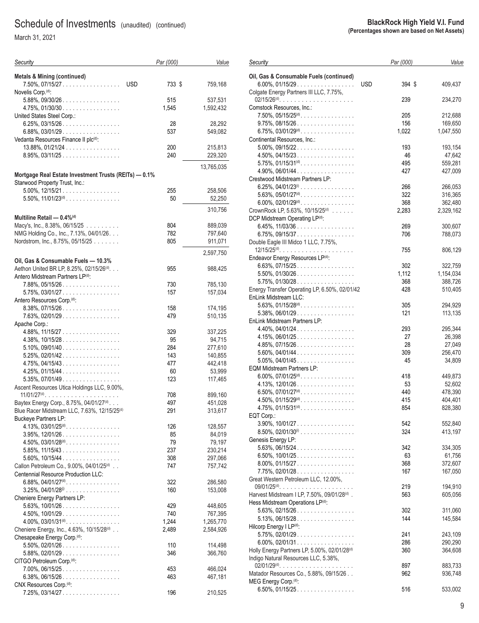March 31, 2021

| Security                                                                                | Par (000)            | Value              |
|-----------------------------------------------------------------------------------------|----------------------|--------------------|
| <b>Metals &amp; Mining (continued)</b><br>7.50%, 07/15/27                               | <b>USD</b><br>733 \$ | 759,168            |
| Novelis Corp. <sup>(d)</sup> :                                                          |                      |                    |
| $5.88\%$ , 09/30/26                                                                     | 515                  | 537,531            |
| $4.75\%$ , 01/30/30                                                                     | 1,545                | 1,592,432          |
| United States Steel Corp.:                                                              |                      |                    |
| $6.25\%$ , 03/15/26                                                                     | 28                   | 28,292             |
| $6.88\%$ , 03/01/29                                                                     | 537                  | 549,082            |
| Vedanta Resources Finance II plc(d):                                                    |                      |                    |
| $13.88\%$ , $01/21/24$                                                                  | 200                  | 215,813            |
| 8.95%, 03/11/25                                                                         | 240                  | 229,320            |
| Mortgage Real Estate Investment Trusts (REITs) - 0.1%<br>Starwood Property Trust, Inc.: |                      | 13,765,035         |
| $5.00\%$ , $12/15/21$                                                                   | 255                  | 258,506            |
| $5.50\%$ , $11/01/23^{(d)}$                                                             | 50                   | 52,250             |
|                                                                                         |                      |                    |
|                                                                                         |                      | 310,756            |
| Multiline Retail - 0.4%(d)                                                              |                      |                    |
| Macy's, Inc., 8.38%, 06/15/25                                                           | 804                  | 889,039            |
| NMG Holding Co., Inc., 7.13%, 04/01/26.                                                 | 782                  | 797,640            |
| Nordstrom, Inc., 8.75%, 05/15/25                                                        | 805                  | 911,071            |
|                                                                                         |                      | 2,597,750          |
| Oil, Gas & Consumable Fuels - 10.3%                                                     |                      |                    |
| Aethon United BR LP, 8.25%, 02/15/26(d).                                                | 955                  | 988,425            |
| Antero Midstream Partners LP(d):                                                        |                      |                    |
| 7.88%, 05/15/26.                                                                        | 730                  | 785,130            |
| $5.75\%$ , 03/01/27                                                                     | 157                  | 157,034            |
| Antero Resources Corp. <sup>(d)</sup> :<br>$8.38\%$ , 07/15/26                          | 158                  |                    |
| $7.63\%$ , 02/01/29                                                                     | 479                  | 174,195<br>510,135 |
| Apache Corp.:                                                                           |                      |                    |
| 4.88%, 11/15/27                                                                         | 329                  | 337,225            |
| $4.38\%$ , $10/15/28$                                                                   | 95                   | 94,715             |
| $5.10\%$ , 09/01/40                                                                     | 284                  | 277,610            |
| $5.25\%$ , 02/01/42.                                                                    | 143                  | 140,855            |
| $4.75\%$ , 04/15/43                                                                     | 477                  | 442,418            |
| $4.25\%$ , 01/15/44                                                                     | 60                   | 53,999             |
| $5.35\%$ , 07/01/49                                                                     | 123                  | 117,465            |
| Ascent Resources Utica Holdings LLC, 9.00%,                                             |                      |                    |
| $11/01/27^{(d)}$                                                                        | 708                  | 899,160            |
| Baytex Energy Corp., 8.75%, 04/01/27(d).                                                | 497                  | 451,028            |
| Blue Racer Midstream LLC, 7.63%, 12/15/25 <sup>(d)</sup>                                | 291                  | 313,617            |
| <b>Buckeye Partners LP:</b>                                                             |                      |                    |
| $4.13\%$ , $03/01/25^{(d)}$ .                                                           | 126                  | 128,557            |
| $3.95\%$ , 12/01/26<br>$4.50\%$ , $03/01/28^{(d)}$ .                                    | 85<br>79             | 84,019<br>79,197   |
| $5.85\%$ , 11/15/43                                                                     | 237                  | 230,214            |
| $5.60\%$ , $10/15/44$                                                                   | 308                  | 297,066            |
| Callon Petroleum Co., 9.00%, 04/01/25 <sup>(d)</sup>                                    | 747                  | 757,742            |
| Centennial Resource Production LLC:                                                     |                      |                    |
| 6.88%, 04/01/27 <sup>(d)</sup> .                                                        | 322                  | 286,580            |
| $3.25\%$ , $04/01/28$ <sup>(i)</sup>                                                    | 160                  | 153,008            |
| Cheniere Energy Partners LP:                                                            |                      |                    |
| $5.63\%$ , $10/01/26$                                                                   | 429                  | 448,605            |
| 4.50%, 10/01/29.                                                                        | 740                  | 767,395            |
| $4.00\%$ , $03/01/31^{(d)}$ .                                                           | 1,244                | 1,265,770          |
| Cheniere Energy, Inc., 4.63%, 10/15/28(d)                                               | 2,489                | 2,584,926          |
| Chesapeake Energy Corp. <sup>(d)</sup> :                                                |                      |                    |
| $5.50\%$ , 02/01/26.                                                                    | 110                  | 114,498            |
| 5.88%, 02/01/29                                                                         | 346                  | 366,760            |
| CITGO Petroleum Corp. <sup>(d)</sup> :                                                  |                      |                    |
| 7.00%, 06/15/25                                                                         | 453                  | 466,024            |
| $6.38\%$ , 06/15/26                                                                     | 463                  | 467,181            |
| CNX Resources Corp. <sup>(d)</sup> :<br>7.25%, 03/14/27.                                | 196                  | 210,525            |
|                                                                                         |                      |                    |

| Security                                                                 | Par (000)            | Value                |
|--------------------------------------------------------------------------|----------------------|----------------------|
| Oil, Gas & Consumable Fuels (continued)<br>$6.00\%$ , 01/15/29.          | <b>USD</b><br>394 \$ | 409,437              |
| Colgate Energy Partners III LLC, 7.75%,                                  | 239                  | 234,270              |
| Comstock Resources, Inc.:                                                |                      |                      |
| $7.50\%$ , $05/15/25^{(d)}$ .<br>$9.75\%$ , $08/15/26$                   | 205<br>156           | 212,688<br>169,650   |
| $6.75\%$ , $03/01/29$ <sup>(d)</sup> .                                   | 1,022                | 1,047,550            |
| Continental Resources, Inc.:                                             |                      |                      |
| $5.00\%$ , 09/15/22                                                      | 193                  | 193,154              |
| $4.50\%$ , $04/15/23$                                                    | 46<br>495            | 47,642               |
| $5.75\%$ , $01/15/31^{(d)}$ .<br>4.90%, 06/01/44                         | 427                  | 559,281<br>427,009   |
| Crestwood Midstream Partners LP:                                         |                      |                      |
| 6.25%, 04/01/23 <sup>(i)</sup>                                           | 266                  | 266,053              |
| $5.63\%$ , $05/01/27^{(d)}$ .                                            | 322                  | 316,365              |
| $6.00\%$ , $02/01/29$ <sup>(d)</sup><br>CrownRock LP, 5.63%, 10/15/25(d) | 368<br>2,283         | 362,480<br>2,329,162 |
| DCP Midstream Operating LP(d):                                           |                      |                      |
| $6.45\%$ , 11/03/36                                                      | 269                  | 300,607              |
| $6.75\%$ , 09/15/37                                                      | 706                  | 788,073              |
| Double Eagle III Midco 1 LLC, 7.75%,                                     |                      |                      |
| Endeavor Energy Resources LP(d):                                         | 755                  | 806,129              |
| $6.63\%$ , 07/15/25                                                      | 302                  | 322,759              |
| $5.50\%$ , 01/30/26.                                                     | 1,112                | 1,154,034            |
| $5.75\%$ , 01/30/28.                                                     | 368                  | 388,726              |
| Energy Transfer Operating LP, 6.50%, 02/01/42<br>EnLink Midstream LLC:   | 428                  | 510,405              |
| $5.63\%$ , $01/15/28^{(d)}$ .                                            | 305                  | 294,929              |
| $5.38\%$ , 06/01/29                                                      | 121                  | 113,135              |
| EnLink Midstream Partners LP:                                            |                      |                      |
| $4.40\%$ , $04/01/24$                                                    | 293                  | 295,344              |
| $4.15\%$ , 06/01/25.<br>$4.85\%, 07/15/26 \dots  \dots $                 | 27<br>28             | 26,398<br>27,049     |
| $5.60\%$ , 04/01/44                                                      | 309                  | 256,470              |
| $5.05\%$ , 04/01/45                                                      | 45                   | 34,809               |
| <b>EQM Midstream Partners LP:</b>                                        |                      |                      |
| $6.00\%$ , $07/01/25$ <sup>(d)</sup>                                     | 418<br>53            | 449,873<br>52,602    |
| 6.50%, 07/01/27 <sup>(d)</sup> .                                         | 440                  | 478,390              |
| $4.50\%$ , $01/15/29$ <sup>(d)</sup> .                                   | 415                  | 404,401              |
| $4.75\%$ , $01/15/31^{(d)}$ .                                            | 854                  | 828,380              |
| EQT Corp.:                                                               |                      |                      |
| $3.90\%$ , $10/01/27$<br>$8.50\%$ , 02/01/30 <sup>(i)</sup>              | 542<br>324           | 552,840<br>413,197   |
| Genesis Energy LP:                                                       |                      |                      |
| $5.63\%$ , 06/15/24                                                      | 342                  | 334,305              |
| 6.50%, $10/01/25$                                                        | 63                   | 61,756               |
| $8.00\%$ , 01/15/27<br>$7.75\%$ , 02/01/28.                              | 368<br>167           | 372,607<br>167,050   |
| Great Western Petroleum LLC, 12.00%,                                     |                      |                      |
| $09/01/25$ <sup>(d)</sup>                                                | 219                  | 194,910              |
| Harvest Midstream I LP, 7.50%, 09/01/28(d).                              | 563                  | 605,056              |
| Hess Midstream Operations LP(d):                                         |                      |                      |
| $5.63\%$ , 02/15/26<br>$5.13\%$ , 06/15/28                               | 302<br>144           | 311,060<br>145,584   |
| Hilcorp Energy I LP(d):                                                  |                      |                      |
| $5.75\%$ , 02/01/29.                                                     | 241                  | 243,109              |
| $6.00\%$ , 02/01/31                                                      | 286                  | 290,290              |
| Holly Energy Partners LP, 5.00%, 02/01/28(d)                             | 360                  | 364,608              |
| Indigo Natural Resources LLC, 5.38%,                                     | 897                  | 883,733              |
| Matador Resources Co., 5.88%, 09/15/26                                   | 962                  | 936,748              |
| MEG Energy Corp. <sup>(d)</sup> :                                        |                      |                      |
| 6.50%, 01/15/25.                                                         | 516                  | 533,002              |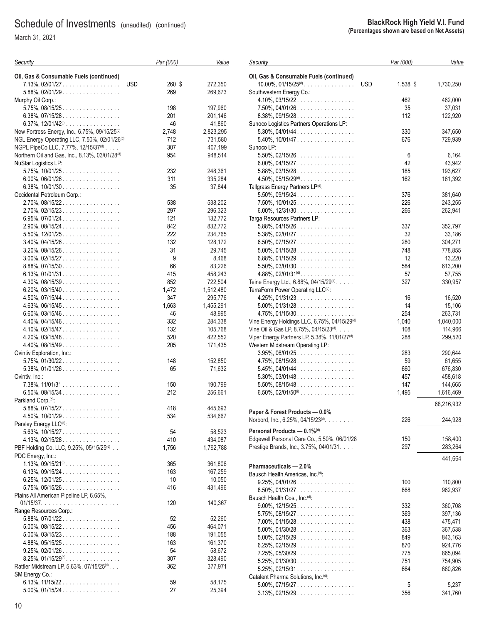March 31, 2021

| Security                                                   | Par (000)  | Value              |
|------------------------------------------------------------|------------|--------------------|
| Oil, Gas & Consumable Fuels (continued)                    |            |                    |
| <b>USD</b><br>$7.13\%$ , 02/01/27                          | 260 \$     | 272,350            |
| 5.88%, 02/01/29                                            | 269        | 269,673            |
| Murphy Oil Corp.:                                          |            |                    |
| $5.75\%$ , 08/15/25                                        | 198        | 197,960            |
| $6.38\%$ , 07/15/28                                        | 201        | 201,146            |
| 6.37%, $12/01/42^{(i)}$                                    | 46         | 41,860             |
| New Fortress Energy, Inc., 6.75%, 09/15/25 <sup>(d)</sup>  | 2,748      | 2,823,295          |
| NGL Energy Operating LLC, 7.50%, 02/01/26 <sup>(d)</sup>   | 712        | 731,580            |
| NGPL PipeCo LLC, 7.77%, 12/15/37(d)                        | 307        | 407,199            |
| Northern Oil and Gas, Inc., 8.13%, 03/01/28 <sup>(d)</sup> | 954        | 948,514            |
| NuStar Logistics LP:                                       |            |                    |
| $5.75\%$ , $10/01/25$                                      | 232        | 248,361            |
| $6.00\%$ , 06/01/26                                        | 311        | 335,284            |
| 6.38%, $10/01/30$                                          | 35         | 37,844             |
| Occidental Petroleum Corp.:                                |            |                    |
| 2.70%, 08/15/22.                                           | 538        | 538,202            |
| $2.70\%$ , 02/15/23.                                       | 297        | 296,323            |
| $6.95\%$ , 07/01/24                                        | 121        | 132,772            |
| $2.90\%$ , 08/15/24                                        | 842        | 832,772            |
| $5.50\%$ , 12/01/25                                        | 222        | 234,765            |
| $3.40\%$ , 04/15/26                                        | 132        | 128,172            |
| $3.20\%$ , 08/15/26                                        | 31         | 29,745             |
| $3.00\%$ , 02/15/27                                        | 9          | 8,468              |
| 8.88%, 07/15/30.                                           | 66         | 83,226             |
| 6.13%, 01/01/31.                                           | 415        | 458,243            |
| $4.30\%$ , 08/15/39                                        | 852        | 722,504            |
| $6.20\%$ , 03/15/40                                        | 1,472      | 1,512,480          |
| $4.50\%$ , 07/15/44                                        | 347        | 295,776            |
| $4.63\%$ , 06/15/45                                        | 1,663      | 1,455,291          |
| $6.60\%$ , 03/15/46                                        | 46         | 48,995             |
| $4.40\%$ , 04/15/46                                        | 332        | 284,338            |
| $4.10\%$ , 02/15/47                                        | 132<br>520 | 105,768            |
| $4.20\%$ , 03/15/48<br>$4.40\%$ , 08/15/49                 | 205        | 422,552<br>171,435 |
| Ovintiv Exploration, Inc.:                                 |            |                    |
| 5.75%, 01/30/22                                            | 148        | 152,850            |
| $5.38\%$ , 01/01/26.                                       | 65         | 71,632             |
| Ovintiv, Inc.:                                             |            |                    |
| 7.38%, 11/01/31                                            | 150        | 190,799            |
| $6.50\%$ , 08/15/34                                        | 212        | 256,661            |
| Parkland Corp. <sup>(d)</sup> :                            |            |                    |
| $5.88\%, 07/15/27$                                         | 418        | 445,693            |
| $4.50\%$ , 10/01/29                                        | 534        | 534,667            |
| Parsley Energy LLC <sup>(d)</sup> :                        |            |                    |
| $5.63\%$ , $10/15/27$                                      | 54         | 58,523             |
| $4.13\%$ , 02/15/28.                                       | 410        | 434,087            |
| PBF Holding Co. LLC, 9.25%, 05/15/25 <sup>(d)</sup>        | 1,756      | 1,792,788          |
| PDC Energy, Inc.:                                          |            |                    |
| $1.13\%$ , 09/15/21 <sup><math>\circ</math></sup>          | 365        | 361,806            |
| $6.13\%$ , 09/15/24                                        | 163        | 167,259            |
| $6.25\%$ , 12/01/25.                                       | 10         | 10,050             |
| $5.75\%$ , 05/15/26                                        | 416        | 431,496            |
| Plains All American Pipeline LP, 6.65%,                    |            |                    |
|                                                            | 120        | 140,367            |
| Range Resources Corp.:                                     |            |                    |
| $5.88\%, 07/01/22$                                         | 52         | 52,260             |
| $5.00\%$ , 08/15/22.                                       | 456        | 464,071            |
| $5.00\%$ , 03/15/23.                                       | 188        | 191,055            |
| $4.88\%, 05/15/25 \dots $<br>$9.25\%$ , 02/01/26           | 163<br>54  | 161,370            |
| $8.25\%$ , 01/15/29 <sup>(d)</sup> .                       | 307        | 58,672<br>328,490  |
| Rattler Midstream LP, 5.63%, 07/15/25(d).                  | 362        | 377,971            |
| SM Energy Co.:                                             |            |                    |
| $6.13\%$ , $11/15/22$                                      | 59         | 58,175             |
| $5.00\%$ , 01/15/24                                        | 27         | 25,394             |
|                                                            |            |                    |

| Security                                                 | Par (000)  | Value              |
|----------------------------------------------------------|------------|--------------------|
|                                                          |            |                    |
| Oil, Gas & Consumable Fuels (continued)                  |            |                    |
| $10.00\%$ , $01/15/25^{(d)}$<br><b>USD</b>               | 1,538 \$   | 1,730,250          |
| Southwestern Energy Co.:                                 | 462        |                    |
| $4.10\%$ , 03/15/22<br>7.50%, 04/01/26.                  | 35         | 462,000<br>37,031  |
| 8.38%, 09/15/28.                                         | 112        | 122,920            |
| Sunoco Logistics Partners Operations LP:                 |            |                    |
| $5.30\%$ , 04/01/44                                      | 330        | 347,650            |
| $5.40\%$ , $10/01/47$                                    | 676        | 729,939            |
| Sunoco LP:                                               |            |                    |
| $5.50\%$ , 02/15/26.                                     | 6          | 6,164              |
| $6.00\%$ , 04/15/27                                      | 42         | 43,942             |
| $5.88\%$ , 03/15/28                                      | 185        | 193,627            |
| $4.50\%$ , $05/15/29^{(d)}$ .                            | 162        | 161,392            |
| Tallgrass Energy Partners LP(d):                         |            |                    |
| 5.50%, 09/15/24.                                         | 376        | 381,640            |
| $7.50\%$ , $10/01/25$                                    | 226        | 243,255            |
| $6.00\%$ , 12/31/30                                      | 266        | 262,941            |
| Targa Resources Partners LP:                             | 337        |                    |
| $5.88\%, 04/15/26 \dots  \dots $<br>$5.38\%$ , 02/01/27. | 32         | 352,797<br>33,186  |
| 6.50%, 07/15/27                                          | 280        | 304,271            |
| $5.00\%$ , 01/15/28.                                     | 748        | 778,855            |
| $6.88\%, 01/15/29 \dots  \dots $                         | 12         | 13,220             |
| $5.50\%$ , 03/01/30                                      | 584        | 613,200            |
| $4.88\%, 02/01/31^{(d)}$                                 | 57         | 57,755             |
| Teine Energy Ltd., 6.88%, 04/15/29(d).                   | 327        | 330,957            |
| TerraForm Power Operating LLC <sup>(d)</sup> :           |            |                    |
| $4.25\%$ , 01/31/23.                                     | 16         | 16,520             |
| $5.00\%$ , 01/31/28.                                     | 14         | 15,106             |
| $4.75\%$ , 01/15/30                                      | 254        | 263,731            |
| Vine Energy Holdings LLC, 6.75%, 04/15/29(d)             | 1,040      | 1,040,000          |
| Vine Oil & Gas LP, 8.75%, 04/15/23 <sup>(d)</sup> .      | 108        | 114,966            |
| Viper Energy Partners LP, 5.38%, 11/01/27 <sup>(d)</sup> | 288        | 299,520            |
| Western Midstream Operating LP:                          |            |                    |
| $3.95\%$ , 06/01/25<br>$4.75\%$ , 08/15/28               | 283<br>59  | 290,644<br>61,655  |
| $5.45\%$ , 04/01/44                                      | 660        | 676,830            |
| $5.30\%$ , 03/01/48                                      | 457        | 458,618            |
| $5.50\%$ , 08/15/48                                      | 147        | 144,665            |
| $6.50\%$ , 02/01/50 <sup>(i)</sup>                       | 1,495      | 1,616,469          |
|                                                          |            |                    |
| Paper & Forest Products - 0.0%                           |            | 68,216,932         |
| Norbord, Inc., 6.25%, 04/15/23 <sup>(d)</sup> .          | 226        | 244,928            |
|                                                          |            |                    |
| Personal Products - 0.1% <sup>(d)</sup>                  |            |                    |
| Edgewell Personal Care Co., 5.50%, 06/01/28              | 150        | 158,400            |
| Prestige Brands, Inc., 3.75%, 04/01/31.                  | 297        | 283,264            |
|                                                          |            | 441,664            |
| Pharmaceuticals - 2.0%                                   |            |                    |
| Bausch Health Americas, Inc. <sup>(d)</sup> :            |            |                    |
| $9.25\%$ , 04/01/26                                      | 100        | 110,800            |
| $8.50\%$ , 01/31/27                                      | 868        | 962,937            |
| Bausch Health Cos., Inc. <sup>(d)</sup> :                |            |                    |
| $9.00\%$ , $12/15/25$<br>$5.75\%$ , 08/15/27             | 332        | 360,708            |
| $7.00\%$ , 01/15/28                                      | 369<br>438 | 397,136<br>475,471 |
| $5.00\%$ , $01/30/28$                                    | 363        | 367,538            |
| $5.00\%$ , 02/15/29.                                     | 849        | 843,163            |
| $6.25\%$ , 02/15/29.                                     | 870        | 924,776            |
| $7.25\%$ , 05/30/29                                      | 775        | 865,094            |
| $5.25\%$ , 01/30/30                                      | 751        | 754,905            |
| $5.25\%$ , 02/15/31                                      | 664        | 660,826            |
|                                                          |            |                    |

Catalent Pharma Solutions, Inc.<sup>(d)</sup>:

3.13%, 02/15/29 ................. 356 341,760

5.00%, 07/15/27 ................. 5 5,237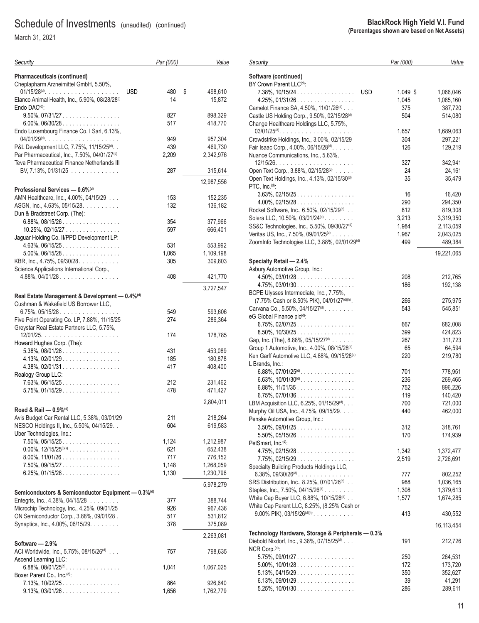March 31, 2021

| Security                                                       | Par (000)         | Value              |
|----------------------------------------------------------------|-------------------|--------------------|
| Pharmaceuticals (continued)                                    |                   |                    |
| Cheplapharm Arzneimittel GmbH, 5.50%,                          |                   |                    |
|                                                                | <b>USD</b><br>480 | \$<br>498,610      |
| Elanco Animal Health, Inc., 5.90%, 08/28/28(i)                 | 14                | 15,872             |
| Endo DAC <sup>(d)</sup> :                                      |                   |                    |
| $9.50\%$ , $07/31/27$                                          | 827               | 898,329            |
| 6.00%, 06/30/28.                                               | 517               | 418,770            |
| Endo Luxembourg Finance Co. I Sarl, 6.13%,                     |                   |                    |
| P&L Development LLC, 7.75%, 11/15/25(d). .                     | 949<br>439        | 957,304<br>469,730 |
| Par Pharmaceutical, Inc., 7.50%, 04/01/27 <sup>(d)</sup>       | 2,209             | 2,342,976          |
| Teva Pharmaceutical Finance Netherlands III                    |                   |                    |
| BV, 7.13%, 01/31/25                                            | 287               | 315,614            |
|                                                                |                   |                    |
|                                                                |                   | 12,987,556         |
| Professional Services - 0.6% <sup>(d)</sup>                    |                   |                    |
| AMN Healthcare, Inc., 4.00%, 04/15/29                          | 153               | 152,235            |
| ASGN, Inc., 4.63%, 05/15/28.<br>Dun & Bradstreet Corp. (The):  | 132               | 136,182            |
| $6.88\%$ , 08/15/26                                            | 354               |                    |
| $10.25\%$ , $02/15/27$                                         | 597               | 377,966<br>666,401 |
| Jaguar Holding Co. II/PPD Development LP:                      |                   |                    |
| $4.63\%$ , 06/15/25.                                           | 531               | 553,992            |
| $5.00\%$ , 06/15/28                                            | 1.065             | 1,109,198          |
| KBR, Inc., 4.75%, 09/30/28.                                    | 305               | 309,803            |
| Science Applications International Corp.,                      |                   |                    |
| $4.88\%$ , 04/01/28                                            | 408               | 421,770            |
|                                                                |                   |                    |
| Real Estate Management & Development - 0.4% <sup>(d)</sup>     |                   | 3,727,547          |
| Cushman & Wakefield US Borrower LLC,                           |                   |                    |
| $6.75\%$ , 05/15/28                                            | 549               | 593,606            |
| Five Point Operating Co. LP, 7.88%, 11/15/25                   | 274               | 286,364            |
| Greystar Real Estate Partners LLC, 5.75%,                      |                   |                    |
|                                                                | 174               | 178,785            |
| Howard Hughes Corp. (The):                                     |                   |                    |
| $5.38\%$ , 08/01/28                                            | 431               | 453,089            |
| $4.13\%$ , 02/01/29                                            | 185               | 180,878            |
| $4.38\%$ , 02/01/31                                            | 417               | 408,400            |
| Realogy Group LLC:                                             |                   |                    |
| $7.63\%$ , 06/15/25                                            | 212               | 231,462            |
| $5.75\%$ , 01/15/29.                                           | 478               | 471,427            |
|                                                                |                   | 2,804,011          |
| Road & Rail - 0.9%(d)                                          |                   |                    |
| Avis Budget Car Rental LLC, 5.38%, 03/01/29                    | 211               | 218,264            |
| NESCO Holdings II, Inc., 5.50%, 04/15/29. .                    | 604               | 619,583            |
| Uber Technologies, Inc.:                                       |                   |                    |
| $7.50\%$ , 05/15/25                                            | 1,124             | 1,212,987          |
| $0.00\%$ , $12/15/25^{(j)(k)}$                                 | 621               | 652,438            |
| $8.00\%$ , $11/01/26$                                          | 717               | 776,152            |
| 7.50%, 09/15/27                                                | 1,148             | 1,268,059          |
| $6.25\%$ , 01/15/28                                            | 1,130             | 1,230,796          |
|                                                                |                   | 5,978,279          |
| Semiconductors & Semiconductor Equipment - 0.3% <sup>(d)</sup> |                   |                    |
| Entegris, Inc., 4.38%, 04/15/28                                | 377               | 388,744            |
| Microchip Technology, Inc., 4.25%, 09/01/25                    | 926               | 967,436            |
| ON Semiconductor Corp., 3.88%, 09/01/28.                       | 517               | 531,812            |
| Synaptics, Inc., 4.00%, 06/15/29.                              | 378               | 375,089            |
|                                                                |                   | 2,263,081          |
| Software - 2.9%                                                |                   |                    |
| ACI Worldwide, Inc., 5.75%, 08/15/26(d)                        | 757               | 798,635            |
| Ascend Learning LLC:                                           |                   |                    |
| $6.88\%$ , 08/01/25 <sup>(d)</sup>                             | 1,041             | 1,067,025          |
| Boxer Parent Co., Inc. <sup>(d)</sup> :                        |                   |                    |
| 7.13%, 10/02/25.                                               | 864               | 926,640            |
| $9.13\%$ , $03/01/26$                                          | 1,656             | 1,762,779          |
|                                                                |                   |                    |

| Security                                                  | Par (000) | Value      |
|-----------------------------------------------------------|-----------|------------|
| Software (continued)                                      |           |            |
| BY Crown Parent LLC <sup>(d)</sup> :                      |           |            |
| $7.38\%$ , $10/15/24$<br><b>USD</b>                       | 1,049 \$  | 1,066,046  |
| $4.25\%$ , 01/31/26.                                      | 1,045     | 1,085,160  |
| Camelot Finance SA, 4.50%, 11/01/26(d)                    | 375       | 387,720    |
| Castle US Holding Corp., 9.50%, 02/15/28 <sup>(d)</sup>   | 504       | 514,080    |
| Change Healthcare Holdings LLC, 5.75%,                    |           |            |
|                                                           | 1,657     | 1,689,063  |
| Crowdstrike Holdings, Inc., 3.00%, 02/15/29               | 304       | 297,221    |
| Fair Isaac Corp., 4.00%, 06/15/28 <sup>(d)</sup> .        | 126       | 129,219    |
| Nuance Communications, Inc., 5.63%,                       |           |            |
|                                                           | 327       | 342,941    |
| Open Text Corp., 3.88%, 02/15/28 <sup>(d)</sup>           | 24        | 24,161     |
| Open Text Holdings, Inc., 4.13%, 02/15/30 <sup>(d)</sup>  | 35        | 35,479     |
| PTC, Inc. <sup>(d)</sup> :                                |           |            |
| $3.63\%$ , 02/15/25                                       | 16        | 16,420     |
| $4.00\%$ , 02/15/28                                       | 290       | 294,350    |
| Rocket Software, Inc., 6.50%, 02/15/29 <sup>(d)</sup>     | 812       | 819,308    |
| Solera LLC, 10.50%, 03/01/24 <sup>(d)</sup>               | 3,213     | 3.319.350  |
| SS&C Technologies, Inc., 5.50%, 09/30/27 <sup>(d)</sup>   | 1,984     | 2,113,059  |
| Veritas US, Inc., 7.50%, 09/01/25 <sup>(d)</sup>          | 1,967     | 2,043,025  |
| ZoomInfo Technologies LLC, 3.88%, 02/01/29 <sup>(d)</sup> | 499       | 489,384    |
|                                                           |           | 19,221,065 |
| Specialty Retail — 2.4%                                   |           |            |
| Asbury Automotive Group, Inc.:                            |           |            |
| $4.50\%$ , 03/01/28.                                      | 208       | 212,765    |
| $4.75\%$ , 03/01/30                                       | 186       | 192,138    |
| BCPE Ulysses Intermediate, Inc., 7.75%,                   |           |            |
| (7.75% Cash or 8.50% PIK), 04/01/27(d)(h).                | 266       | 275,975    |
| Carvana Co., 5.50%, 04/15/27 <sup>(d)</sup> .             | 543       | 545,851    |
| eG Global Finance plc <sup>(d)</sup> :                    |           |            |
| $6.75\%$ , 02/07/25                                       | 667       | 682,008    |
| $8.50\%$ , $10/30/25$                                     | 399       | 424,823    |
| Gap, Inc. (The), 8.88%, 05/15/27 <sup>(d)</sup>           | 267       | 311,723    |
| Group 1 Automotive, Inc., 4.00%, 08/15/28 <sup>(d)</sup>  | 65        | 64,594     |
| Ken Garff Automotive LLC, 4.88%, 09/15/28 <sup>(d)</sup>  | 220       | 219,780    |
| L Brands, Inc.:                                           |           |            |
| $6.88\%$ , $07/01/25^{(d)}$ .                             | 701       | 778,951    |
| 6.63%, $10/01/30$ <sup>(d)</sup>                          | 236       | 269,465    |
| $6.88\%$ , 11/01/35                                       | 752       | 896,226    |
| $6.75\%$ , 07/01/36                                       | 119       | 140,420    |
| LBM Acquisition LLC, 6.25%, 01/15/29 <sup>(d)</sup>       | 700       | 721,000    |
| Murphy Oil USA, Inc., 4.75%, 09/15/29.                    | 440       | 462,000    |
| Penske Automotive Group, Inc.:                            |           |            |
| 3.50%, 09/01/25                                           | 312       | 318,761    |
| 5.50%, 05/15/26                                           | 170       | 174,939    |
| PetSmart, Inc. <sup>(d)</sup> :                           |           |            |
| $4.75\%$ , 02/15/28.                                      | 1,342     | 1,372,477  |
| $7.75\%$ , 02/15/29.                                      | 2,519     | 2,726,691  |
| Specialty Building Products Holdings LLC,                 |           |            |
| $6.38\%$ , $09/30/26^{(d)}$                               | 777       | 802,252    |
| SRS Distribution, Inc., 8.25%, 07/01/26 <sup>(d)</sup>    | 988       | 1,036,165  |
| Staples, Inc., 7.50%, 04/15/26 <sup>(d)</sup>             | 1,308     | 1,379,613  |
| White Cap Buyer LLC, 6.88%, 10/15/28(d)                   | 1,577     | 1,674,285  |
| White Cap Parent LLC, 8.25%, (8.25% Cash or               |           |            |
| 9.00% PIK), 03/15/26 <sup>(d)(h)</sup> .                  | 413       | 430,552    |
|                                                           |           |            |
|                                                           |           | 16,113,454 |
| Technology Hardware, Storage & Peripherals - 0.3%         |           |            |
| Diebold Nixdorf, Inc., 9.38%, 07/15/25(d)                 | 191       | 212,726    |
| NCR Corp. <sup>(d)</sup> :                                |           |            |
| $5.75\%$ , 09/01/27                                       | 250       | 264,531    |
| $5.00\%$ , $10/01/28$                                     | 172       | 173,720    |
| $5.13\%$ , 04/15/29.                                      | 350       | 352,627    |
| $6.13\%$ , 09/01/29.                                      | 39        | 41,291     |
| $5.25\%$ , $10/01/30$                                     | 286       | 289,611    |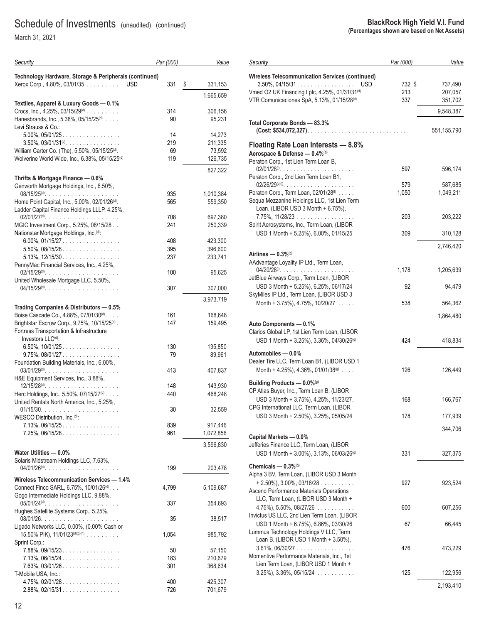| Security                                                                                      | Par (000) | Value             |
|-----------------------------------------------------------------------------------------------|-----------|-------------------|
| Technology Hardware, Storage & Peripherals (continued)                                        |           |                   |
| Xerox Corp., 4.80%, 03/01/35<br><b>USD</b>                                                    | 331       | \$<br>331,153     |
|                                                                                               |           | 1,665,659         |
| Textiles, Apparel & Luxury Goods - 0.1%<br>Crocs, Inc., 4.25%, 03/15/29 <sup>(d)</sup>        | 314       | 306,156           |
| Hanesbrands, Inc., 5.38%, 05/15/25 <sup>(d)</sup>                                             | 90        | 95,231            |
| Levi Strauss & Co.:                                                                           |           |                   |
| $5.00\%$ , $05/01/25$                                                                         | 14        | 14,273            |
| $3.50\%$ , $03/01/31^{(d)}$ .                                                                 | 219       | 211,335           |
| William Carter Co. (The), 5.50%, 05/15/25 <sup>(d)</sup> .                                    | 69<br>119 | 73,592            |
| Wolverine World Wide, Inc., 6.38%, 05/15/25 <sup>(d)</sup>                                    |           | 126,735           |
|                                                                                               |           | 827,322           |
| Thrifts & Mortgage Finance - 0.6%<br>Genworth Mortgage Holdings, Inc., 6.50%,                 |           |                   |
|                                                                                               | 935       | 1,010,384         |
| Home Point Capital, Inc., 5.00%, 02/01/26 <sup>(d)</sup> .                                    | 565       | 559,350           |
| Ladder Capital Finance Holdings LLLP, 4.25%,                                                  |           |                   |
| $02/01/27(d)$                                                                                 | 708       | 697,380           |
| MGIC Investment Corp., 5.25%, 08/15/28<br>Nationstar Mortgage Holdings, Inc. <sup>(d)</sup> : | 241       | 250,339           |
| $6.00\%$ , 01/15/27                                                                           | 408       | 423,300           |
| $5.50\%$ , 08/15/28                                                                           | 395       | 396,600           |
| $5.13\%$ , $12/15/30$                                                                         | 237       | 233,741           |
| PennyMac Financial Services, Inc., 4.25%,                                                     |           |                   |
|                                                                                               | 100       | 95,625            |
| United Wholesale Mortgage LLC, 5.50%,<br>04/15/29 <sup>(d)</sup>                              | 307       | 307,000           |
|                                                                                               |           |                   |
| Trading Companies & Distributors - 0.5%                                                       |           | 3,973,719         |
| Boise Cascade Co., 4.88%, 07/01/30 <sup>(d)</sup> .                                           | 161       | 168,648           |
| Brightstar Escrow Corp., 9.75%, 10/15/25 <sup>(d)</sup> .                                     | 147       | 159,495           |
| Fortress Transportation & Infrastructure                                                      |           |                   |
| Investors LLC(d):                                                                             |           |                   |
| $6.50\%$ , 10/01/25.<br>$9.75\%$ , 08/01/27                                                   | 130<br>79 | 135,850<br>89,961 |
| Foundation Building Materials, Inc., 6.00%,                                                   |           |                   |
| $03/01/29(d)$                                                                                 | 413       | 407,837           |
| H&E Equipment Services, Inc., 3.88%,                                                          |           |                   |
| $12/15/28^{(d)}$                                                                              | 148       | 143,930           |
| Herc Holdings, Inc., 5.50%, 07/15/27(d)                                                       | 440       | 468,248           |
| United Rentals North America, Inc., 5.25%,                                                    | 30        | 32,559            |
| WESCO Distribution, Inc. <sup>(d)</sup> :                                                     |           |                   |
| 7.13%, 06/15/25                                                                               | 839       | 917,446           |
| $7.25\%$ , 06/15/28                                                                           | 961       | 1,072,856         |
|                                                                                               |           | 3,596,830         |
| Water Utilities - 0.0%                                                                        |           |                   |
| Solaris Midstream Holdings LLC, 7.63%,                                                        |           |                   |
| $04/01/26$ <sup>(d)</sup>                                                                     | 199       | 203,478           |
| Wireless Telecommunication Services - 1.4%                                                    |           |                   |
| Connect Finco SARL, 6.75%, 10/01/26(d).                                                       | 4,799     | 5,109,687         |
| Gogo Intermediate Holdings LLC, 9.88%,                                                        | 337       | 354,693           |
| Hughes Satellite Systems Corp., 5.25%,                                                        |           |                   |
|                                                                                               | 35        | 38,517            |
| Ligado Networks LLC, 0.00%, (0.00% Cash or                                                    |           |                   |
| 15.50% PIK), 11/01/23 <sup>(d)(g)(h)</sup>                                                    | 1,054     | 985,792           |
| Sprint Corp.:<br>7.88%, 09/15/23                                                              | 50        | 57,150            |
| 7.13%, 06/15/24                                                                               | 183       | 210,679           |
| $7.63\%$ , 03/01/26                                                                           | 301       | 368,634           |
| T-Mobile USA, Inc.:                                                                           |           |                   |
| $4.75\%$ , 02/01/28.                                                                          | 400       | 425,307           |
| $2.88\%$ , 02/15/31                                                                           | 726       | 701,679           |

| Security                                                                          | Par (000) | Value       |
|-----------------------------------------------------------------------------------|-----------|-------------|
| <b>Wireless Telecommunication Services (continued)</b>                            |           |             |
| $3.50\%$ , 04/15/31<br>USD                                                        | 732 \$    | 737,490     |
| Vmed O2 UK Financing I plc, 4.25%, 01/31/31(d)                                    | 213       | 207,057     |
| VTR Comunicaciones SpA, 5.13%, 01/15/28 <sup>(d)</sup>                            | 337       | 351,702     |
|                                                                                   |           | 9,548,387   |
| Total Corporate Bonds - 83.3%<br>$(Cost: $534,072,327)$                           |           | 551,155,790 |
|                                                                                   |           |             |
| Floating Rate Loan Interests - 8.8%<br>Aerospace & Defense - 0.4%(9)              |           |             |
| Peraton Corp., 1st Lien Term Loan B,                                              |           |             |
| Peraton Corp., 2nd Lien Term Loan B1,                                             | 597       | 596,174     |
| $02/26/29^{(b)(i)}$                                                               | 579       | 587,685     |
| Peraton Corp., Term Loan, 02/01/28 <sup>(1)</sup>                                 | 1,050     | 1,049,211   |
| Sequa Mezzanine Holdings LLC, 1st Lien Term                                       |           |             |
| Loan, (LIBOR USD 3 Month + 6.75%),                                                |           |             |
| 7.75%, 11/28/23                                                                   | 203       | 203,222     |
| Spirit Aerosystems, Inc., Term Loan, (LIBOR                                       |           |             |
| USD 1 Month + 5.25%), 6.00%, 01/15/25                                             | 309       | 310,128     |
|                                                                                   |           | 2,746,420   |
| Airlines — 0.3%®                                                                  |           |             |
| AAdvantage Loyality IP Ltd., Term Loan,                                           |           |             |
|                                                                                   | 1,178     | 1,205,639   |
| JetBlue Airways Corp., Term Loan, (LIBOR<br>USD 3 Month + 5.25%), 6.25%, 06/17/24 | 92        | 94,479      |
| SkyMiles IP Ltd., Term Loan, (LIBOR USD 3                                         |           |             |
| Month + 3.75%), 4.75%, 10/20/27 $\ldots$                                          | 538       | 564,362     |
|                                                                                   |           |             |
| Auto Components - 0.1%                                                            |           | 1,864,480   |
| Clarios Global LP, 1st Lien Term Loan, (LIBOR                                     |           |             |
| USD 1 Month + 3.25%), 3.36%, 04/30/26(9)                                          | 424       | 418,834     |
| Automobiles — 0.0%                                                                |           |             |
| Dealer Tire LLC, Term Loan B1, (LIBOR USD 1                                       |           |             |
| Month + 4.25%), 4.36%, 01/01/38 $(9)$                                             | 126       | 126,449     |
| Building Products - 0.0% <sup>(g)</sup>                                           |           |             |
| CP Atlas Buyer, Inc., Term Loan B, (LIBOR                                         |           |             |
| USD 3 Month + 3.75%), 4.25%, 11/23/27.                                            | 168       | 166,767     |
| CPG International LLC, Term Loan, (LIBOR                                          |           |             |
| USD 3 Month + 2.50%), 3.25%, 05/05/24                                             | 178       | 177,939     |
|                                                                                   |           |             |
| Capital Markets - 0.0%                                                            |           | 344,706     |
| Jefferies Finance LLC, Term Loan, (LIBOR                                          |           |             |
| USD 1 Month + 3.00%), 3.13%, 06/03/26 <sup>(g)</sup>                              | 331       | 327,375     |
|                                                                                   |           |             |
| Chemicals - 0.3%(g)                                                               |           |             |
| Alpha 3 BV, Term Loan, (LIBOR USD 3 Month                                         |           |             |
| $+ 2.50\%$ , 3.00%, 03/18/28<br><b>Ascend Performance Materials Operations</b>    | 927       | 923,524     |
| LLC, Term Loan, (LIBOR USD 3 Month +                                              |           |             |
| $4.75\%$ , 5.50%, 08/27/26                                                        | 600       | 607,256     |
| Invictus US LLC, 2nd Lien Term Loan, (LIBOR                                       |           |             |
| USD 1 Month + 6.75%), 6.86%, 03/30/26                                             | 67        | 66,445      |
| Lummus Technology Holdings V LLC, Term                                            |           |             |
| Loan B, (LIBOR USD 1 Month + 3.50%),                                              |           |             |
| $3.61\%$ , 06/30/27                                                               | 476       | 473,229     |
| Momentive Performance Materials, Inc., 1st                                        |           |             |
| Lien Term Loan, (LIBOR USD 1 Month +                                              |           |             |
| $3.25\%$ , $3.36\%$ , $05/15/24$                                                  | 125       | 122,956     |
|                                                                                   |           | 2,193,410   |
|                                                                                   |           |             |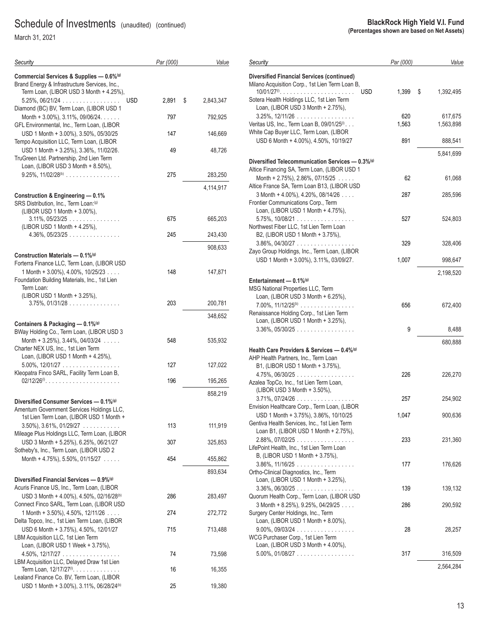March 31, 2021

| Security                                                                                                                             | Par (000) | Value           |
|--------------------------------------------------------------------------------------------------------------------------------------|-----------|-----------------|
| Commercial Services & Supplies - 0.6%(9)<br>Brand Energy & Infrastructure Services, Inc.,<br>Term Loan, (LIBOR USD 3 Month + 4.25%), |           |                 |
| $5.25\%$ , 06/21/24<br><b>USD</b><br>Diamond (BC) BV, Term Loan, (LIBOR USD 1                                                        | 2,891     | \$<br>2,843,347 |
| Month + 3.00%), $3.11\%$ , 09/06/24.                                                                                                 | 797       | 792,925         |
| GFL Environmental, Inc., Term Loan, (LIBOR<br>USD 1 Month + 3.00%), 3.50%, 05/30/25                                                  | 147       | 146,669         |
| Tempo Acquisition LLC, Term Loan, (LIBOR<br>USD 1 Month + 3.25%), 3.36%, 11/02/26.<br>TruGreen Ltd. Partnership, 2nd Lien Term       | 49        | 48,726          |
| Loan, (LIBOR USD 3 Month + 8.50%),<br>$9.25\%$ , $11/02/28^{(b)}$                                                                    | 275       | 283,250         |
|                                                                                                                                      |           | 4,114,917       |
| Construction & Engineering - 0.1%<br>SRS Distribution, Inc., Term Loan: <sup>(g)</sup><br>(LIBOR USD 1 Month + 3.00%),               |           |                 |
| $3.11\%$ , $05/23/25$<br>(LIBOR USD 1 Month + 4.25%),                                                                                | 675       | 665,203         |
| 4.36%, 05/23/25                                                                                                                      | 245       | 243,430         |
| Construction Materials - 0.1% <sup>(g)</sup>                                                                                         |           | 908,633         |
| Forterra Finance LLC, Term Loan, (LIBOR USD                                                                                          |           |                 |
| 1 Month + 3.00%), 4.00%, 10/25/23<br>Foundation Building Materials, Inc., 1st Lien<br>Term Loan:                                     | 148       | 147,871         |
| (LIBOR USD 1 Month + 3.25%),<br>$3.75\%$ , 01/31/28 $\dots\dots\dots\dots\dots\dots$                                                 | 203       | 200,781         |
|                                                                                                                                      |           | 348,652         |
| Containers & Packaging - 0.1%(9)                                                                                                     |           |                 |
| BWay Holding Co., Term Loan, (LIBOR USD 3<br>Month + 3.25%), 3.44%, 04/03/24 $\ldots$<br>Charter NEX US, Inc., 1st Lien Term         | 548       | 535,932         |
| Loan, (LIBOR USD 1 Month + 4.25%),<br>$5.00\%$ , $12/01/27$                                                                          | 127       | 127,022         |
| Kleopatra Finco SARL, Facility Term Loan B,                                                                                          | 196       | 195,265         |
|                                                                                                                                      |           | 858,219         |
| Diversified Consumer Services - 0.1% <sup>(g)</sup><br>Amentum Government Services Holdings LLC,                                     |           |                 |
| 1st Lien Term Loan, (LIBOR USD 1 Month +<br>$3.50\%$ , $3.61\%$ , $01/29/27$                                                         | 113       | 111,919         |
| Mileage Plus Holdings LLC, Term Loan, (LIBOR<br>USD 3 Month + 5.25%), 6.25%, 06/21/27                                                | 307       | 325,853         |
| Sotheby's, Inc., Term Loan, (LIBOR USD 2<br>Month + 4.75%), 5.50%, 01/15/27                                                          | 454       | 455,862         |
|                                                                                                                                      |           | 893,634         |
| Diversified Financial Services - 0.9%(9)                                                                                             |           |                 |
| Acuris Finance US, Inc., Term Loan, (LIBOR<br>USD 3 Month + 4.00%), 4.50%, 02/16/28 <sup>(b)</sup>                                   | 286       | 283,497         |
| Connect Finco SARL, Term Loan, (LIBOR USD<br>1 Month + 3.50%), 4.50%, 12/11/26 $\dots$                                               | 274       | 272,772         |
| Delta Topco, Inc., 1st Lien Term Loan, (LIBOR<br>USD 6 Month + 3.75%), 4.50%, 12/01/27<br>LBM Acquisition LLC, 1st Lien Term         | 715       | 713,488         |
| Loan, (LIBOR USD 1 Week + 3.75%),<br>$4.50\%$ , 12/17/27                                                                             | 74        | 73,598          |
| LBM Acquisition LLC, Delayed Draw 1st Lien<br>Term Loan, 12/17/27 <sup>(0)</sup> .                                                   | 16        | 16,355          |
| Lealand Finance Co. BV, Term Loan, (LIBOR<br>USD 1 Month + 3.00%), 3.11%, 06/28/24 <sup>(b)</sup>                                    | 25        | 19,380          |
|                                                                                                                                      |           |                 |

| Security                                                                              | Par (000) | Value           |
|---------------------------------------------------------------------------------------|-----------|-----------------|
| <b>Diversified Financial Services (continued)</b>                                     |           |                 |
| Milano Acquisition Corp., 1st Lien Term Loan B,                                       |           |                 |
| $10/01/27^{\circ\circ}$<br><b>USD</b>                                                 | 1,399     | \$<br>1,392,495 |
| Sotera Health Holdings LLC, 1st Lien Term                                             |           |                 |
| Loan, (LIBOR USD 3 Month + 2.75%),                                                    |           |                 |
| $3.25\%$ , $12/11/26$                                                                 | 620       | 617,675         |
| Veritas US, Inc., Term Loan B, 09/01/25 <sup>(1)</sup> .                              | 1,563     | 1,563,898       |
| White Cap Buyer LLC, Term Loan, (LIBOR                                                |           |                 |
| USD 6 Month + 4.00%), 4.50%, 10/19/27                                                 | 891       | 888,541         |
|                                                                                       |           | 5,841,699       |
| Diversified Telecommunication Services - 0.3% <sup>(g)</sup>                          |           |                 |
| Altice Financing SA, Term Loan, (LIBOR USD 1                                          |           |                 |
| Month + 2.75%), 2.86%, 07/15/25 $\ldots$                                              | 62        | 61,068          |
| Altice France SA, Term Loan B13, (LIBOR USD                                           |           |                 |
| 3 Month + 4.00%), 4.20%, 08/14/26                                                     | 287       | 285,596         |
| Frontier Communications Corp., Term                                                   |           |                 |
| Loan, (LIBOR USD 1 Month + 4.75%),                                                    |           |                 |
| $5.75\%$ , 10/08/21                                                                   | 527       | 524,803         |
| Northwest Fiber LLC, 1st Lien Term Loan<br>B2, (LIBOR USD 1 Month + 3.75%),           |           |                 |
| $3.86\%$ , 04/30/27                                                                   | 329       | 328,406         |
| Zayo Group Holdings, Inc., Term Loan, (LIBOR                                          |           |                 |
| USD 1 Month + 3.00%), 3.11%, 03/09/27.                                                | 1,007     | 998,647         |
|                                                                                       |           |                 |
|                                                                                       |           | 2,198,520       |
| Entertainment $-0.1\%$ <sup>(g)</sup><br>MSG National Properties LLC, Term            |           |                 |
| Loan, (LIBOR USD 3 Month + 6.25%),                                                    |           |                 |
| $7.00\%$ , $11/12/25^{(b)}$                                                           | 656       | 672,400         |
| Renaissance Holding Corp., 1st Lien Term                                              |           |                 |
| Loan, (LIBOR USD 1 Month + 3.25%),                                                    |           |                 |
| $3.36\%$ , $05/30/25$                                                                 | 9         | 8,488           |
|                                                                                       |           |                 |
| Health Care Providers & Services - 0.4% <sup>(g)</sup>                                |           | 680,888         |
| AHP Health Partners, Inc., Term Loan                                                  |           |                 |
| B1, (LIBOR USD 1 Month + 3.75%),                                                      |           |                 |
| $4.75\%$ , 06/30/25                                                                   | 226       | 226,270         |
| Azalea TopCo, Inc., 1st Lien Term Loan,                                               |           |                 |
| (LIBOR USD 3 Month + 3.50%),                                                          |           |                 |
| $3.71\%$ , $07/24/26$                                                                 | 257       | 254,902         |
| Envision Healthcare Corp., Term Loan, (LIBOR                                          |           |                 |
| USD 1 Month + 3.75%), 3.86%, 10/10/25                                                 | 1,047     | 900,636         |
| Gentiva Health Services, Inc., 1st Lien Term<br>Loan B1, (LIBOR USD 1 Month + 2.75%), |           |                 |
| $2.88\%, 07/02/25$                                                                    | 233       | 231,360         |
| LifePoint Health, Inc., 1st Lien Term Loan                                            |           |                 |
| B, (LIBOR USD 1 Month + 3.75%),                                                       |           |                 |
| $3.86\%$ , $11/16/25$                                                                 | 177       | 176,626         |
| Ortho-Clinical Diagnostics, Inc., Term                                                |           |                 |
| Loan, (LIBOR USD 1 Month + 3.25%),                                                    |           |                 |
| $3.36\%$ , 06/30/25                                                                   | 139       | 139,132         |
| Quorum Health Corp., Term Loan, (LIBOR USD                                            |           |                 |
| 3 Month + 8.25%), 9.25%, 04/29/25                                                     | 286       | 290,592         |
| Surgery Center Holdings, Inc., Term                                                   |           |                 |
| Loan, (LIBOR USD 1 Month + 8.00%),                                                    |           |                 |
| $9.00\%$ , 09/03/24<br>$\sim 10$ .                                                    | 28        | 28,257          |
| WCG Purchaser Corp., 1st Lien Term<br>Loan, (LIBOR USD 3 Month + 4.00%),              |           |                 |
| $5.00\%$ , 01/08/27                                                                   | 317       | 316,509         |
|                                                                                       |           |                 |
|                                                                                       |           | 2,564,284       |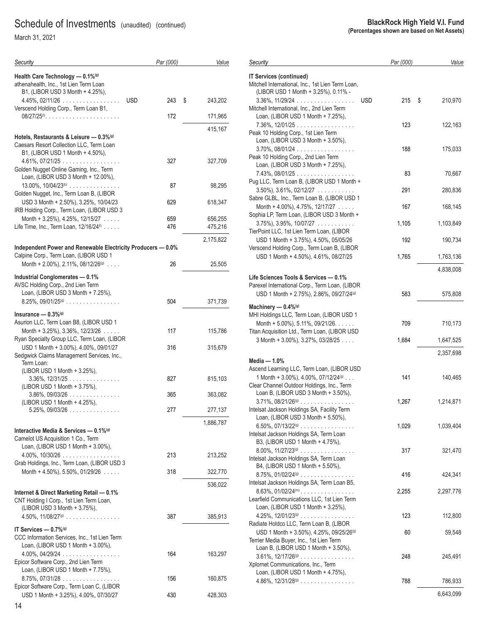March 31, 2021

| Security                                                                                                                                                                    | Par (000)  | Value              |
|-----------------------------------------------------------------------------------------------------------------------------------------------------------------------------|------------|--------------------|
| Health Care Technology - 0.1%(9)<br>athenahealth, Inc., 1st Lien Term Loan<br>B1, (LIBOR USD 3 Month + 4.25%),                                                              |            |                    |
| $4.45\%$ , 02/11/26<br><b>USD</b><br>Verscend Holding Corp., Term Loan B1,                                                                                                  | 243        | \$<br>243,202      |
|                                                                                                                                                                             | 172        | 171,965            |
| Hotels, Restaurants & Leisure - 0.3% <sup>(g)</sup><br>Caesars Resort Collection LLC, Term Loan                                                                             |            | 415,167            |
| B1, (LIBOR USD 1 Month + 4.50%),<br>$4.61\%, 07/21/25 \ldots \ldots \ldots \ldots \ldots$<br>Golden Nugget Online Gaming, Inc., Term<br>Loan, (LIBOR USD 3 Month + 12.00%), | 327        | 327,709            |
| $13.00\%$ , $10/04/23^{(b)}$<br>Golden Nugget, Inc., Term Loan B, (LIBOR                                                                                                    | 87         | 98,295             |
| USD 3 Month + 2.50%), 3.25%, 10/04/23<br>IRB Holding Corp., Term Loan, (LIBOR USD 3                                                                                         | 629        | 618,347            |
| Month + 3.25%), 4.25%, 12/15/27 $\ldots$<br>Life Time, Inc., Term Loan, 12/16/24 <sup>(0)</sup>                                                                             | 659<br>476 | 656,255<br>475,216 |
|                                                                                                                                                                             |            | 2,175,822          |
| Independent Power and Renewable Electricity Producers - 0.0%<br>Calpine Corp., Term Loan, (LIBOR USD 1                                                                      |            |                    |
| Month + 2.00%), 2.11%, 08/12/26 $(9)$                                                                                                                                       | 26         | 25,505             |
| Industrial Conglomerates - 0.1%<br>AVSC Holding Corp., 2nd Lien Term<br>Loan, (LIBOR USD 3 Month + 7.25%),                                                                  |            |                    |
| $8.25\%$ , 09/01/25 <sup>(g)</sup>                                                                                                                                          | 504        | 371,739            |
| Insurance $-0.3\%$ <sup>(g)</sup><br>Asurion LLC, Term Loan B8, (LIBOR USD 1                                                                                                |            |                    |
| Month + $3.25\%$ ), $3.36\%$ , $12/23/26$<br>Ryan Specialty Group LLC, Term Loan, (LIBOR                                                                                    | 117        | 115,786            |
| USD 1 Month + 3.00%), 4.00%, 09/01/27<br>Sedgwick Claims Management Services, Inc.,                                                                                         | 316        | 315,679            |
| Term Loan:<br>(LIBOR USD 1 Month + 3.25%),                                                                                                                                  |            |                    |
| $3.36\%$ , $12/31/25$<br>(LIBOR USD 1 Month + 3.75%).                                                                                                                       | 827        | 815,103            |
| $3.86\%$ , 09/03/26 $\dots$<br>$\alpha$ , $\alpha$ , $\alpha$ , $\alpha$<br>(LIBOR USD 1 Month + 4.25%),                                                                    | 365        | 363,082            |
| $5.25\%$ , 09/03/26                                                                                                                                                         | 277        | 277,137            |
| Interactive Media & Services - 0.1% <sup>(g)</sup><br>Camelot US Acquisition 1 Co., Term                                                                                    |            | 1,886,787          |
| Loan, (LIBOR USD 1 Month + 3.00%),<br>$4.00\%$ , 10/30/26<br>Grab Holdings, Inc., Term Loan, (LIBOR USD 3                                                                   | 213        | 213,252            |
| Month + 4.50%), 5.50%, 01/29/26 $\dots$                                                                                                                                     | 318        | 322,770            |
| Internet & Direct Marketing Retail - 0.1%<br>CNT Holding I Corp., 1st Lien Term Loan,                                                                                       |            | 536,022            |
| (LIBOR USD 3 Month + 3.75%),<br>$4.50\%$ , $11/08/27^{(g)}$                                                                                                                 | 387        | 385,913            |
| IT Services $-0.7\%$ <sup>(g)</sup><br>CCC Information Services, Inc., 1st Lien Term<br>Loan, (LIBOR USD 1 Month + 3.00%),                                                  |            |                    |
| $4.00\%$ , $04/29/24$<br>Epicor Software Corp., 2nd Lien Term<br>Loan, (LIBOR USD 1 Month + 7.75%),                                                                         | 164        | 163,297            |
| $8.75\%$ , 07/31/28                                                                                                                                                         | 156        | 160,875            |
| Epicor Software Corp., Term Loan C, (LIBOR<br>USD 1 Month + 3.25%), 4.00%, 07/30/27                                                                                         | 430        | 428,303            |

| Security                                                                                                                                                                    | Par (000) | Value         |
|-----------------------------------------------------------------------------------------------------------------------------------------------------------------------------|-----------|---------------|
| <b>IT Services (continued)</b><br>Mitchell International, Inc., 1st Lien Term Loan,<br>(LIBOR USD 1 Month + 3.25%), 0.11% -                                                 |           |               |
| $3.36\%$ , $11/29/24$<br><b>USD</b><br>Mitchell International, Inc., 2nd Lien Term<br>Loan, (LIBOR USD 1 Month + 7.25%),                                                    | 215       | \$<br>210,970 |
| $7.36\%$ , 12/01/25<br>Peak 10 Holding Corp., 1st Lien Term<br>Loan, (LIBOR USD 3 Month + 3.50%),                                                                           | 123       | 122,163       |
| $3.70\%$ , $08/01/24$<br>Peak 10 Holding Corp., 2nd Lien Term<br>Loan, (LIBOR USD 3 Month + 7.25%),                                                                         | 188       | 175,033       |
| 7.43%, 08/01/25<br>Pug LLC, Term Loan B, (LIBOR USD 1 Month +                                                                                                               | 83        | 70,667        |
| $3.50\%$ , $3.61\%$ , $02/12/27$                                                                                                                                            | 291       | 280,836       |
| Sabre GLBL, Inc., Term Loan B, (LIBOR USD 1<br>Month + 4.00%), 4.75%, 12/17/27 $\ldots$                                                                                     | 167       | 168,145       |
| Sophia LP, Term Loan, (LIBOR USD 3 Month +<br>$3.75\%$ , $3.95\%$ , $10/07/27$                                                                                              | 1,105     | 1,103,849     |
| TierPoint LLC, 1st Lien Term Loan, (LIBOR<br>USD 1 Month + 3.75%), 4.50%, 05/05/26                                                                                          | 192       | 190,734       |
| Verscend Holding Corp., Term Loan B, (LIBOR<br>USD 1 Month + 4.50%), 4.61%, 08/27/25                                                                                        | 1,765     | 1,763,136     |
| Life Sciences Tools & Services - 0.1%                                                                                                                                       |           | 4,838,008     |
| Parexel International Corp., Term Loan, (LIBOR<br>USD 1 Month + 2.75%), 2.86%, 09/27/24 <sup>(g)</sup>                                                                      | 583       | 575,808       |
| Machinery $- 0.4\%$ <sup>(g)</sup><br>MHI Holdings LLC, Term Loan, (LIBOR USD 1                                                                                             |           |               |
| Month + 5.00%), 5.11%, 09/21/26. $\ldots$ .<br>Titan Acquisition Ltd., Term Loan, (LIBOR USD                                                                                | 709       | 710,173       |
| 3 Month + 3.00%), 3.27%, 03/28/25                                                                                                                                           | 1,684     | 1,647,525     |
| Media $-$ 1.0%                                                                                                                                                              |           | 2,357,698     |
| Ascend Learning LLC, Term Loan, (LIBOR USD<br>1 Month + 3.00%), 4.00%, 07/12/24 $(9)$<br>Clear Channel Outdoor Holdings, Inc., Term<br>Loan B, (LIBOR USD 3 Month + 3.50%), | 141       | 140,465       |
| $3.71\%$ , $08/21/26^{(g)}$<br>Intelsat Jackson Holdings SA, Facility Term<br>Loan, (LIBOR USD 3 Month + 5.50%),                                                            | 1,267     | 1,214,871     |
| $6.50\%$ , $07/13/22^{(9)}$<br>Intelsat Jackson Holdings SA, Term Loan<br>B3, (LIBOR USD 1 Month + 4.75%),                                                                  | 1,029     | 1,039,404     |
| $8.00\%$ , $11/27/23^{(9)}$<br>Intelsat Jackson Holdings SA, Term Loan<br>B4, (LIBOR USD 1 Month + 5.50%),                                                                  | 317       | 321,470       |
| $8.75\%$ , $01/02/24^{(g)}$<br>Intelsat Jackson Holdings SA, Term Loan B5,                                                                                                  | 416       | 424,341       |
| $8.63\%$ , $01/02/24$ <sup>(m)</sup><br>Learfield Communications LLC, 1st Lien Term<br>Loan, (LIBOR USD 1 Month + 3.25%),                                                   | 2,255     | 2,297,776     |
| $4.25\%$ , $12/01/23^{(9)}$<br>Radiate Holdco LLC, Term Loan B, (LIBOR                                                                                                      | 123       | 112,800       |
| USD 1 Month + 3.50%), 4.25%, 09/25/26(g)<br>Terrier Media Buyer, Inc., 1st Lien Term<br>Loan B, (LIBOR USD 1 Month + 3.50%),                                                | 60        | 59,548        |
| $3.61\%$ , $12/17/26^{(9)}$<br>Xplornet Communications, Inc., Term                                                                                                          | 248       | 245,491       |
| Loan, (LIBOR USD 1 Month + 4.75%),<br>$4.86\%$ , $12/31/28^{(9)}$                                                                                                           | 788       | 786,933       |
|                                                                                                                                                                             |           | 6,643,099     |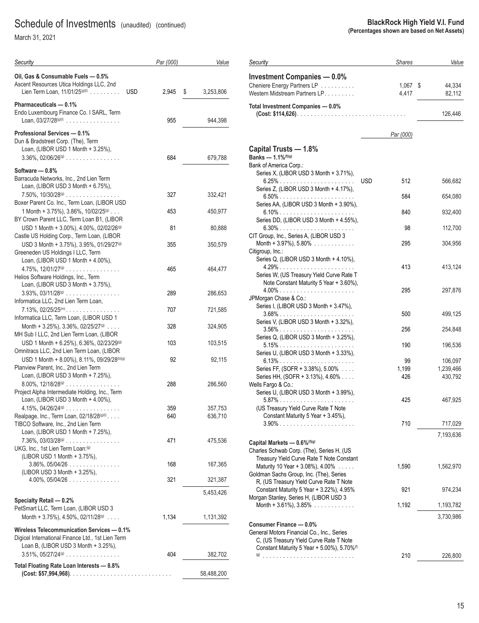March 31, 2021

| Security                                                                                                                                | Par (000)   | Value      |
|-----------------------------------------------------------------------------------------------------------------------------------------|-------------|------------|
| Oil, Gas & Consumable Fuels - 0.5%<br>Ascent Resources Utica Holdings LLC, 2nd<br>Lien Term Loan, 11/01/25(9)(0)<br><b>USD</b>          | 2,945<br>\$ | 3,253,806  |
| Pharmaceuticals - 0.1%<br>Endo Luxembourg Finance Co. I SARL, Term                                                                      |             |            |
| Loan, $03/27/28^{(9)(1)}$                                                                                                               | 955         | 944,398    |
| Professional Services - 0.1%<br>Dun & Bradstreet Corp. (The), Term<br>Loan, (LIBOR USD 1 Month + 3.25%),                                |             |            |
| $3.36\%$ , $02/06/26^{(g)}$                                                                                                             | 684         | 679,788    |
| Software - 0.8%<br>Barracuda Networks, Inc., 2nd Lien Term<br>Loan, (LIBOR USD 3 Month + 6.75%),                                        |             |            |
| $7.50\%$ , $10/30/28^{(9)}$<br>Boxer Parent Co. Inc., Term Loan, (LIBOR USD                                                             | 327         | 332,421    |
| 1 Month + 3.75%), 3.86%, 10/02/25(9)<br>BY Crown Parent LLC, Term Loan B1, (LIBOR                                                       | 453         | 450,977    |
| USD 1 Month + 3.00%), 4.00%, 02/02/26(9)<br>Castle US Holding Corp., Term Loan, (LIBOR                                                  | 81          | 80,888     |
| USD 3 Month + 3.75%), 3.95%, 01/29/27 <sup>(g)</sup><br>Greeneden US Holdings I LLC, Term                                               | 355         | 350,579    |
| Loan, (LIBOR USD 1 Month + 4.00%),<br>Helios Software Holdings, Inc., Term<br>Loan, (LIBOR USD 3 Month + 3.75%),                        | 465         | 464,477    |
| $3.93\%$ , $03/11/28^{(g)}$                                                                                                             | 289         | 286,653    |
| Informatica LLC, 2nd Lien Term Loan,<br>$7.13\%$ , 02/25/25 <sup>(m)</sup><br>Informatica LLC, Term Loan, (LIBOR USD 1                  | 707         | 721,585    |
| Month + 3.25%), 3.36%, 02/25/27 <sup>(g)</sup><br>MH Sub I LLC, 2nd Lien Term Loan, (LIBOR                                              | 328         | 324,905    |
| USD 1 Month + 6.25%), 6.36%, 02/23/29(9)<br>Omnitracs LLC, 2nd Lien Term Loan, (LIBOR                                                   | 103         | 103,515    |
| USD 1 Month + 8.00%), 8.11%, 09/29/28(b)(g)<br>Planview Parent, Inc., 2nd Lien Term<br>Loan, (LIBOR USD 3 Month + 7.25%),               | 92          | 92,115     |
| $8.00\%$ , $12/18/28^{(9)}$<br>Project Alpha Intermediate Holding, Inc., Term                                                           | 288         | 286,560    |
| Loan, (LIBOR USD 3 Month + 4.00%),<br>4.15%, $04/26/24^{(9)}$                                                                           | 359         | 357,753    |
| Realpage, Inc., Term Loan, 02/18/28(9)(1)<br>TIBCO Software, Inc., 2nd Lien Term<br>Loan, (LIBOR USD 1 Month + 7.25%),                  | 640         | 636,710    |
| $7.36\%$ , 03/03/28 <sup>(g)</sup><br>UKG, Inc., 1st Lien Term Loan: <sup>(g)</sup><br>(LIBOR USD 1 Month + 3.75%),                     | 471         | 475,536    |
| $3.86\%$ , $05/04/26$<br>(LIBOR USD 3 Month + 3.25%),                                                                                   | 168         | 167,365    |
| 4.00%, 05/04/26                                                                                                                         | 321         | 321,387    |
|                                                                                                                                         |             | 5,453,426  |
| Specialty Retail - 0.2%<br>PetSmart LLC, Term Loan, (LIBOR USD 3<br>Month + 3.75%), 4.50%, 02/11/28 $(9)$                               | 1,134       | 1,131,392  |
| Wireless Telecommunication Services - 0.1%<br>Digicel International Finance Ltd., 1st Lien Term<br>Loan B, (LIBOR USD 3 Month + 3.25%), |             |            |
| $3.51\%$ , $05/27/24\%$                                                                                                                 | 404         | 382,702    |
| Total Floating Rate Loan Interests - 8.8%                                                                                               |             | 58,488,200 |

| Security                                                                                                                           | <b>Shares</b>      | Value                           |
|------------------------------------------------------------------------------------------------------------------------------------|--------------------|---------------------------------|
| <b>Investment Companies - 0.0%</b><br>Cheniere Energy Partners LP<br>Western Midstream Partners LP.                                | 1,067<br>4,417     | \$<br>44,334<br>82,112          |
| Total Investment Companies - 0.0%                                                                                                  |                    | 126,446                         |
|                                                                                                                                    | Par (000)          |                                 |
| Capital Trusts - 1.8%<br>Banks - 1.1%(f)(g)                                                                                        |                    |                                 |
| Bank of America Corp.:<br>Series X, (LIBOR USD 3 Month + 3.71%),                                                                   | <b>USD</b><br>512  | 566,682                         |
| Series Z, (LIBOR USD 3 Month + 4.17%),<br>6.50%                                                                                    | 584                | 654,080                         |
| Series AA, (LIBOR USD 3 Month + 3.90%),                                                                                            |                    |                                 |
| 6.10%<br>Series DD, (LIBOR USD 3 Month + 4.55%),                                                                                   | 840                | 932,400                         |
| 6.30%<br>CIT Group, Inc., Series A, (LIBOR USD 3                                                                                   | 98                 | 112,700                         |
| Month + $3.97\%$ ), $5.80\%$<br>Citigroup, Inc.:                                                                                   | 295                | 304,956                         |
| Series Q, (LIBOR USD 3 Month + 4.10%),                                                                                             | 413                | 413,124                         |
| Series W, (US Treasury Yield Curve Rate T<br>Note Constant Maturity 5 Year + 3.60%),<br>4.00%                                      | 295                | 297,876                         |
| JPMorgan Chase & Co.:<br>Series I, (LIBOR USD 3 Month + 3.47%),                                                                    | 500                | 499,125                         |
| Series V, (LIBOR USD 3 Month + 3.32%),                                                                                             | 256                | 254,848                         |
| Series Q, (LIBOR USD 3 Month + 3.25%),                                                                                             |                    |                                 |
| Series U, (LIBOR USD 3 Month + 3.33%),                                                                                             | 190                | 196,536                         |
| Series FF, (SOFR + 3.38%), 5.00%<br>Series HH, (SOFR + 3.13%), 4.60%                                                               | 99<br>1,199<br>426 | 106,097<br>1,239,466<br>430,792 |
| Wells Fargo & Co.:<br>Series U, (LIBOR USD 3 Month + 3.99%),<br>(US Treasury Yield Curve Rate T Note                               | 425                | 467,925                         |
| Constant Maturity 5 Year + 3.45%),                                                                                                 | 710                | 717,029                         |
|                                                                                                                                    |                    | 7,193,636                       |
| Capital Markets - 0.6% <sup>(f)(g)</sup><br>Charles Schwab Corp. (The), Series H, (US<br>Treasury Yield Curve Rate T Note Constant |                    |                                 |
| Maturity 10 Year + 3.08%), $4.00\%$<br>Goldman Sachs Group, Inc. (The), Series                                                     | 1,590              | 1,562,970                       |
| R, (US Treasury Yield Curve Rate T Note<br>Constant Maturity 5 Year + 3.22%), 4.95%                                                | 921                | 974,234                         |
| Morgan Stanley, Series H, (LIBOR USD 3<br>Month + 3.61%), $3.85\%$                                                                 | 1,192              | 1,193,782                       |
|                                                                                                                                    |                    | 3,730,986                       |
| Consumer Finance - 0.0%<br>General Motors Financial Co., Inc., Series<br>C, (US Treasury Yield Curve Rate T Note                   |                    |                                 |
| Constant Maturity 5 Year + 5.00%), 5.70% <sup>(f)</sup>                                                                            | 210                | 226,800                         |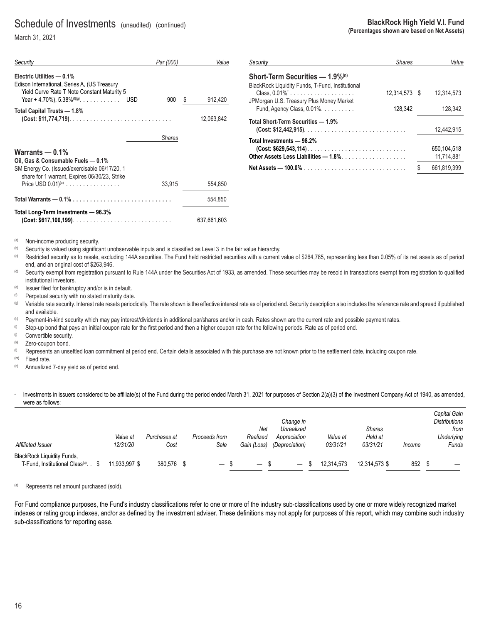March 31, 2021

| Security                                                                                                                                                                              | Par (000)     | Value        |
|---------------------------------------------------------------------------------------------------------------------------------------------------------------------------------------|---------------|--------------|
| Electric Utilities - 0.1%<br>Edison International, Series A, (US Treasury<br>Yield Curve Rate T Note Constant Maturity 5<br>Year + 4.70%), $5.38\%$ <sup>(f)(g)</sup> .<br><b>USD</b> | 900           | 912,420<br>S |
| Total Capital Trusts - 1.8%                                                                                                                                                           |               | 12,063,842   |
|                                                                                                                                                                                       | <b>Shares</b> |              |
| Warrants $-0.1\%$<br>Oil, Gas & Consumable Fuels - 0.1%<br>SM Energy Co. (Issued/exercisable 06/17/20, 1<br>share for 1 warrant, Expires 06/30/23, Strike<br>Price USD $0.01)^{(a)}$  | 33,915        | 554,850      |
|                                                                                                                                                                                       |               | 554,850      |
| Total Long-Term Investments - 96.3%<br>$(Cost: $617,100,199)$                                                                                                                         |               | 637,661,603  |

| <b>BlackRock High Yield V.I. Fund</b>       |
|---------------------------------------------|
| (Percentages shown are based on Net Assets) |

| Securitv                                                                            | <b>Shares</b> | Value       |
|-------------------------------------------------------------------------------------|---------------|-------------|
| Short-Term Securities - 1.9%(n)<br>BlackRock Liquidity Funds, T-Fund, Institutional |               |             |
| Class, 0.01%'<br>JPMorgan U.S. Treasury Plus Money Market                           | 12.314.573 \$ | 12.314.573  |
| Fund, Agency Class, 0.01%.                                                          | 128.342       | 128.342     |
| Total Short-Term Securities — 1.9%                                                  |               |             |
|                                                                                     |               | 12.442.915  |
| Total Investments — 98.2%                                                           |               |             |
| $(Cost: $629,543,114)$                                                              |               | 650.104.518 |
| Other Assets Less Liabilities — 1.8%. $\ldots$                                      |               | 11.714.881  |
|                                                                                     |               | 661.819.399 |

(a) Non-income producing security.

Security is valued using significant unobservable inputs and is classified as Level 3 in the fair value hierarchy.

<sup>(c)</sup> Restricted security as to resale, excluding 144A securities. The Fund held restricted securities with a current value of \$264,785, representing less than 0.05% of its net assets as of period end, and an original cost of \$263,946.

<sup>(d)</sup> Security exempt from registration pursuant to Rule 144A under the Securities Act of 1933, as amended. These securities may be resold in transactions exempt from registration to qualified institutional investors.

(e) Issuer filed for bankruptcy and/or is in default.

 $(6)$  Perpetual security with no stated maturity date.

(g) Variable rate security. Interest rate resets periodically. The rate shown is the effective interest rate as of period end. Security description also includes the reference rate and spread if published and available.<br>Payment-in-kind security which may pay interest/dividends in additional par/shares and/or in cash. Rates shown are the current rate and possible payment rates.

(h) Payment-in-kind security which may pay interest/dividends in additional par/shares and/or in cash. Rates shown are the current rate and possi<br>(i) Step-up bond that pays an initial coupon rate for the first period and t

(i) Convertible security.

Zero-coupon bond.<br>Represents an unsettled loan commitment at period end. Certain details associated with this purchase are not known prior to the settlement date, including coupon rate.

(m) Fixed rate.

(n) Annualized 7-day yield as of period end.

#### Investments in issuers considered to be affiliate(s) of the Fund during the period ended March 31, 2021 for purposes of Section 2(a)(3) of the Investment Company Act of 1940, as amended, were as follows:

|                                                 |               |              |                          |                          |                          |            |               |        | Capital Gain         |
|-------------------------------------------------|---------------|--------------|--------------------------|--------------------------|--------------------------|------------|---------------|--------|----------------------|
|                                                 |               |              |                          |                          | Change in                |            |               |        | <b>Distributions</b> |
|                                                 |               |              |                          | Net                      | Unrealized               |            | <b>Shares</b> |        | from                 |
|                                                 | Value at      | Purchases at | Proceeds from            | Realized                 | Appreciation             | Value at   | Held at       |        | <b>Underlying</b>    |
| Affiliated Issuer                               | 12/31/20      | Cost         | Sale                     | Gain (Loss)              | (Depreciation)           | 03/31/21   | 03/31/21      | Income | Funds                |
| <b>BlackRock Liquidity Funds,</b>               |               |              |                          |                          |                          |            |               |        |                      |
| T-Fund, Institutional Class <sup>(a)</sup> . \$ | 11,933,997 \$ | 380,576      | $\overline{\phantom{m}}$ | $\overline{\phantom{m}}$ | $\overline{\phantom{m}}$ | 12.314.573 | 12.314.573 \$ | 852    |                      |

(a) Represents net amount purchased (sold).

For Fund compliance purposes, the Fund's industry classifications refer to one or more of the industry sub-classifications used by one or more widely recognized market indexes or rating group indexes, and/or as defined by the investment adviser. These definitions may not apply for purposes of this report, which may combine such industry sub-classifications for reporting ease.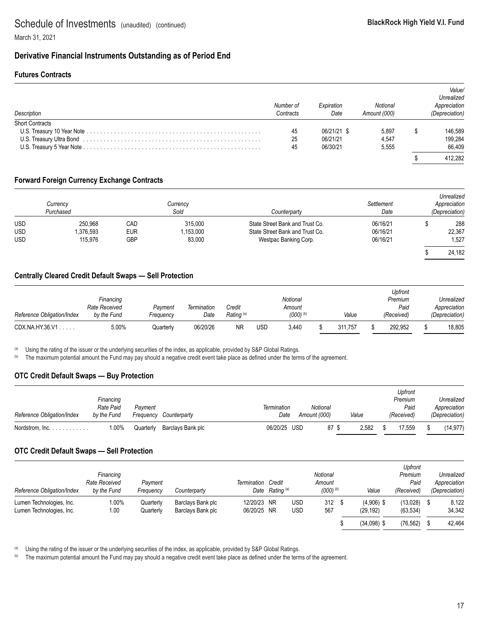### **Derivative Financial Instruments Outstanding as of Period End**

### **Futures Contracts**

| Description     | Number of<br>Contracts | Expiration<br>Date | Notional<br>Amount (000) | Value/<br>Unrealized<br>Appreciation<br>(Depreciation) |
|-----------------|------------------------|--------------------|--------------------------|--------------------------------------------------------|
| Short Contracts |                        |                    |                          |                                                        |
|                 | 45                     | 06/21/21 \$        | 5.897                    | 146,589                                                |
|                 | 25                     | 06/21/21           | 4.547                    | 199,284                                                |
|                 | 45                     | 06/30/21           | 5.555                    | 66.409                                                 |
|                 |                        |                    |                          | 412.282                                                |

### **Forward Foreign Currency Exchange Contracts**

|            | Currency<br>Purchased |     | Currency<br>Sold | Counterparty                    | Settlement<br>Date | Unrealized<br>Appreciation<br>(Depreciation) |
|------------|-----------------------|-----|------------------|---------------------------------|--------------------|----------------------------------------------|
| <b>USD</b> | 250.968               | CAD | 315,000          | State Street Bank and Trust Co. | 06/16/21           | 288                                          |
| <b>USD</b> | .376,593              | EUR | 1,153,000        | State Street Bank and Trust Co. | 06/16/21           | 22,367                                       |
| <b>USD</b> | 115.976               | GBP | 83,000           | Westpac Banking Corp.           | 06/16/21           | 1,527                                        |
|            |                       |     |                  |                                 |                    | 24,182                                       |

### **Centrally Cleared Credit Default Swaps — Sell Protection**

|                            |               |           |             |                       |     |                        |         | Upfront    |                |
|----------------------------|---------------|-----------|-------------|-----------------------|-----|------------------------|---------|------------|----------------|
|                            | Financing     |           |             |                       |     | Notional               |         | Premium    | Unrealized     |
|                            | Rate Received | Pavment   | Termination | Credit                |     | Amount                 |         | Paid       | Appreciation   |
| Reference Obligation/Index | by the Fund   | Frequencv | Date        | Rating <sup>(a)</sup> |     | $(000)$ <sup>(b)</sup> | Value   | (Received) | (Depreciation) |
| CDX.NA.HY.36.V1            | 5.00%         | Quarterly | 06/20/26    | ΝR                    | USC | 3.440                  | 311.757 | 292.952    | 18.805         |

<sup>(a)</sup> Using the rating of the issuer or the underlying securities of the index, as applicable, provided by S&P Global Ratings.

(b) The maximum potential amount the Fund may pay should a negative credit event take place as defined under the terms of the agreement.

### **OTC Credit Default Swaps — Buy Protection**

|                                   |             |           |                   |              |              |       | Upfront    |                |
|-----------------------------------|-------------|-----------|-------------------|--------------|--------------|-------|------------|----------------|
|                                   | Financing   |           |                   |              |              |       | Premium    | Unrealized     |
|                                   | Rate Paid   | Pavment   |                   | Termination  | Notional     |       | Paid       | Appreciation   |
| Reference Obligation/Index        | by the Fund | Freauencv | Counterparty      | Date         | Amount (000) | Value | (Received) | (Depreciation) |
| Nordstrom, $Inc. \ldots. \ldots.$ | 1.00%       | Quarterly | Barclays Bank plc | 06/20/25 USD | 87 \$        | 2.582 | 17.559     | (14.977)       |

### **OTC Credit Default Swaps — Sell Protection**

| Reference Obligation/Index                           | Financing<br>Rate Received<br>by the Fund | Pavment<br>Freauency   | Counterparty                           | Termination Credit         | Date Rating <sup>(a)</sup> |                          | Notional<br>Amount<br>$(000)$ <sup>(b)</sup> | Value                    | <b>Upfront</b><br>Premium<br>Paid<br>(Received) | Unrealized<br>Appreciation<br>(Depreciation) |
|------------------------------------------------------|-------------------------------------------|------------------------|----------------------------------------|----------------------------|----------------------------|--------------------------|----------------------------------------------|--------------------------|-------------------------------------------------|----------------------------------------------|
| Lumen Technologies, Inc.<br>Lumen Technologies, Inc. | 1.00%<br>1.00                             | Quarterly<br>Quarterly | Barclays Bank plc<br>Barclays Bank plc | 12/20/23 NR<br>06/20/25 NR |                            | <b>USD</b><br><b>USD</b> | 312<br>567                                   | $(4,906)$ \$<br>(29.192) | (13,028)<br>(63, 534)                           | 8.122<br>34.342                              |
|                                                      |                                           |                        |                                        |                            |                            |                          |                                              | $(34,098)$ \$            | (76, 562)                                       | 42.464                                       |

<sup>(a)</sup> Using the rating of the issuer or the underlying securities of the index, as applicable, provided by S&P Global Ratings.<br><sup>(b)</sup> The maximum potential amount the Fund may pay should a negative credit event take place a

The maximum potential amount the Fund may pay should a negative credit event take place as defined under the terms of the agreement.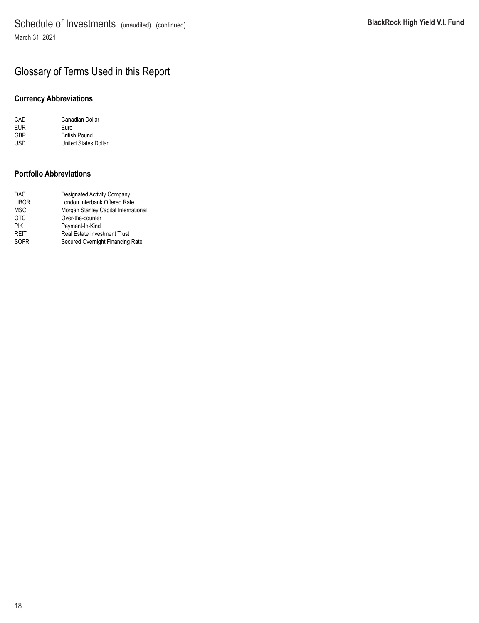## Glossary of Terms Used in this Report

### **Currency Abbreviations**

| CAD | Canadian Dollar      |
|-----|----------------------|
| EUR | Euro                 |
| GBP | <b>British Pound</b> |
| USD | United States Dollar |

### **Portfolio Abbreviations**

| DAC   | <b>Designated Activity Company</b>   |
|-------|--------------------------------------|
| LIBOR | London Interbank Offered Rate        |
| MSCI  | Morgan Stanley Capital International |
| отс   | Over-the-counter                     |
| PIK   | Payment-In-Kind                      |
| REIT  | <b>Real Estate Investment Trust</b>  |
| SOFR  | Secured Overnight Financing Rate     |
|       |                                      |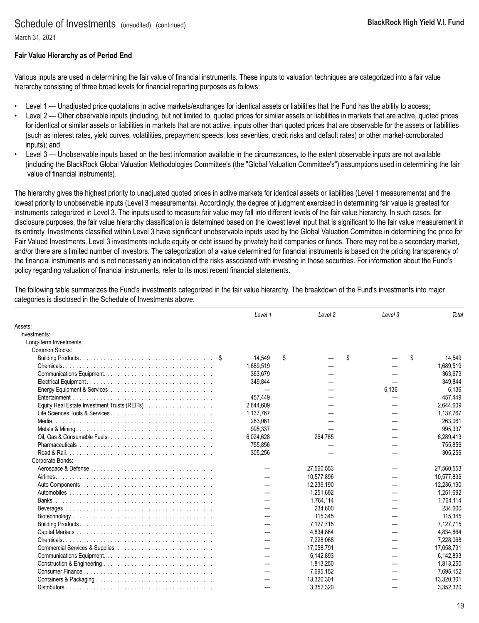March 31, 2021

### **Fair Value Hierarchy as of Period End**

Various inputs are used in determining the fair value of financial instruments. These inputs to valuation techniques are categorized into a fair value hierarchy consisting of three broad levels for financial reporting purposes as follows:

- Level 1 Unadjusted price quotations in active markets/exchanges for identical assets or liabilities that the Fund has the ability to access;
- Level 2 Other observable inputs (including, but not limited to, quoted prices for similar assets or liabilities in markets that are active, quoted prices for identical or similar assets or liabilities in markets that are not active, inputs other than quoted prices that are observable for the assets or liabilities (such as interest rates, yield curves, volatilities, prepayment speeds, loss severities, credit risks and default rates) or other market-corroborated inputs); and
- Level 3 Unobservable inputs based on the best information available in the circumstances, to the extent observable inputs are not available (including the BlackRock Global Valuation Methodologies Committee's (the "Global Valuation Committee's") assumptions used in determining the fair value of financial instruments).

The hierarchy gives the highest priority to unadjusted quoted prices in active markets for identical assets or liabilities (Level 1 measurements) and the lowest priority to unobservable inputs (Level 3 measurements). Accordingly, the degree of judgment exercised in determining fair value is greatest for instruments categorized in Level 3. The inputs used to measure fair value may fall into different levels of the fair value hierarchy. In such cases, for disclosure purposes, the fair value hierarchy classification is determined based on the lowest level input that is significant to the fair value measurement in its entirety. Investments classified within Level 3 have significant unobservable inputs used by the Global Valuation Committee in determining the price for Fair Valued Investments. Level 3 investments include equity or debt issued by privately held companies or funds. There may not be a secondary market, and/or there are a limited number of investors. The categorization of a value determined for financial instruments is based on the pricing transparency of the financial instruments and is not necessarily an indication of the risks associated with investing in those securities. For information about the Fund's policy regarding valuation of financial instruments, refer to its most recent financial statements.

The following table summarizes the Fund's investments categorized in the fair value hierarchy. The breakdown of the Fund's investments into major categories is disclosed in the Schedule of Investments above.

|                        | Level 1   | Level 2    | Level 3 | Total        |
|------------------------|-----------|------------|---------|--------------|
| Assets:                |           |            |         |              |
| Investments:           |           |            |         |              |
| Long-Term Investments: |           |            |         |              |
| Common Stocks:         |           |            |         |              |
|                        | 14,549    | \$         | \$      | \$<br>14,549 |
| Chemicals.             | 1,689,519 |            |         | 1,689,519    |
|                        | 363.679   |            |         | 363,679      |
|                        | 349,844   |            |         | 349.844      |
|                        |           |            | 6.136   | 6,136        |
|                        | 457.449   |            |         | 457,449      |
|                        | 2,644,609 |            |         | 2,644,609    |
|                        | 1,137,767 |            |         | 1,137,767    |
|                        | 263.061   |            |         | 263,061      |
|                        | 995,337   |            |         | 995,337      |
|                        | 6,024,628 | 264,785    |         | 6,289,413    |
|                        | 755,856   |            |         | 755,856      |
|                        | 305,256   |            |         | 305,256      |
| Corporate Bonds:       |           |            |         |              |
|                        |           | 27,560,553 |         | 27,560,553   |
|                        |           | 10,577,896 |         | 10,577,896   |
|                        |           | 12,236,190 |         | 12,236,190   |
|                        |           | 1,251,692  |         | 1,251,692    |
|                        |           | 1,764,114  |         | 1,764,114    |
|                        |           | 234,600    |         | 234,600      |
|                        |           | 115,345    |         | 115,345      |
|                        |           | 7,127,715  |         | 7,127,715    |
|                        |           | 4,834,864  |         | 4,834,864    |
|                        |           | 7,228,068  |         | 7,228,068    |
|                        |           | 17,058,791 |         | 17,058,791   |
|                        |           | 6,142,893  |         | 6,142,893    |
|                        |           | 1,813,250  |         | 1,813,250    |
|                        |           | 7,695,152  |         | 7,695,152    |
|                        |           | 13,320,301 |         | 13,320,301   |
|                        |           | 3,352,320  |         | 3,352,320    |
|                        |           |            |         |              |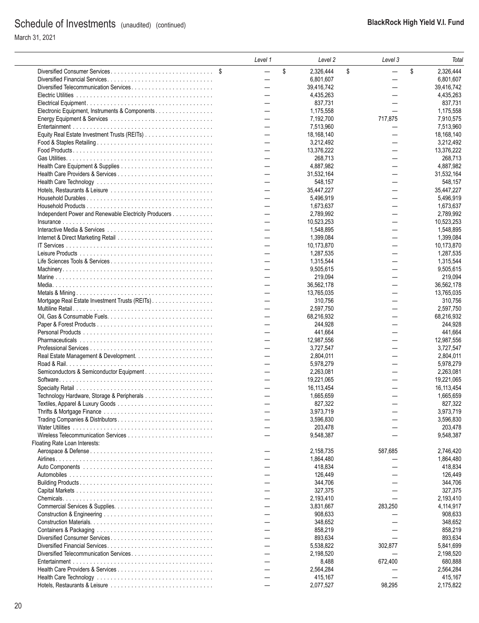|                                                                                                              | Level 1                  | Level 2         | Level 3                  | Total           |
|--------------------------------------------------------------------------------------------------------------|--------------------------|-----------------|--------------------------|-----------------|
|                                                                                                              | $\overline{\phantom{0}}$ | \$<br>2,326,444 | \$                       | \$<br>2,326,444 |
|                                                                                                              | $\overline{\phantom{0}}$ | 6,801,607       |                          | 6,801,607       |
|                                                                                                              | $\overline{\phantom{0}}$ | 39,416,742      |                          | 39,416,742      |
|                                                                                                              |                          | 4,435,263       |                          | 4.435.263       |
|                                                                                                              |                          | 837,731         |                          | 837,731         |
| Electronic Equipment, Instruments & Components                                                               |                          | 1,175,558       |                          | 1,175,558       |
|                                                                                                              | $\overline{\phantom{0}}$ |                 |                          |                 |
|                                                                                                              |                          | 7,192,700       | 717,875                  | 7,910,575       |
|                                                                                                              | $\overline{\phantom{0}}$ | 7,513,960       |                          | 7,513,960       |
|                                                                                                              |                          | 18,168,140      |                          | 18.168.140      |
|                                                                                                              |                          | 3.212.492       |                          | 3,212,492       |
|                                                                                                              | $\overline{\phantom{0}}$ | 13.376.222      | $\overline{\phantom{0}}$ | 13,376,222      |
|                                                                                                              |                          | 268,713         |                          | 268,713         |
|                                                                                                              |                          | 4,887,982       |                          | 4,887,982       |
|                                                                                                              | $\overline{\phantom{0}}$ | 31,532,164      |                          | 31,532,164      |
|                                                                                                              |                          | 548,157         |                          | 548,157         |
|                                                                                                              |                          | 35,447,227      | $\overline{\phantom{0}}$ | 35,447,227      |
|                                                                                                              |                          |                 |                          |                 |
|                                                                                                              |                          | 5,496,919       |                          | 5,496,919       |
|                                                                                                              | $\overline{\phantom{0}}$ | 1,673,637       | $\overline{\phantom{0}}$ | 1,673,637       |
| Independent Power and Renewable Electricity Producers                                                        | $\overline{\phantom{0}}$ | 2,789,992       | $\overline{\phantom{0}}$ | 2,789,992       |
|                                                                                                              |                          | 10,523,253      |                          | 10,523,253      |
|                                                                                                              |                          | 1,548,895       |                          | 1.548.895       |
|                                                                                                              | —                        | 1,399,084       | $\overline{\phantom{0}}$ | 1,399,084       |
|                                                                                                              |                          | 10,173,870      |                          | 10,173,870      |
|                                                                                                              |                          | 1,287,535       |                          | 1,287,535       |
|                                                                                                              |                          | 1,315,544       |                          | 1.315.544       |
|                                                                                                              |                          |                 |                          |                 |
|                                                                                                              |                          | 9.505.615       |                          | 9,505,615       |
|                                                                                                              |                          | 219,094         |                          | 219,094         |
|                                                                                                              |                          | 36,562,178      |                          | 36,562,178      |
|                                                                                                              | $\overline{\phantom{0}}$ | 13,765,035      | $\overline{\phantom{0}}$ | 13,765,035      |
|                                                                                                              | $\overline{\phantom{0}}$ | 310,756         | $\overline{\phantom{0}}$ | 310,756         |
|                                                                                                              | $\overline{\phantom{0}}$ | 2,597,750       |                          | 2,597,750       |
|                                                                                                              |                          | 68,216,932      |                          | 68,216,932      |
|                                                                                                              | $\overline{\phantom{0}}$ | 244,928         | $\overline{\phantom{0}}$ | 244,928         |
|                                                                                                              |                          |                 |                          |                 |
|                                                                                                              |                          | 441,664         |                          | 441,664         |
|                                                                                                              |                          | 12,987,556      |                          | 12,987,556      |
|                                                                                                              | $\overline{\phantom{0}}$ | 3,727,547       |                          | 3,727,547       |
|                                                                                                              |                          | 2,804,011       |                          | 2,804,011       |
|                                                                                                              | $\overline{\phantom{0}}$ | 5,978,279       | $\overline{\phantom{0}}$ | 5,978,279       |
| Semiconductors & Semiconductor Equipment                                                                     | $\overline{\phantom{0}}$ | 2,263,081       |                          | 2,263,081       |
|                                                                                                              | $\overline{\phantom{0}}$ | 19,221,065      | $\overline{\phantom{0}}$ | 19,221,065      |
|                                                                                                              | $\overline{\phantom{0}}$ | 16, 113, 454    |                          | 16,113,454      |
|                                                                                                              |                          | 1,665,659       |                          | 1,665,659       |
|                                                                                                              |                          | 827,322         |                          | 827,322         |
|                                                                                                              |                          |                 |                          |                 |
|                                                                                                              |                          | 3,973,719       |                          | 3,973,719       |
| Trading Companies & Distributors                                                                             |                          | 3,596,830       |                          | 3,596,830       |
|                                                                                                              |                          | 203,478         |                          | 203,478         |
|                                                                                                              |                          | 9,548,387       |                          | 9,548,387       |
| Floating Rate Loan Interests:                                                                                |                          |                 |                          |                 |
|                                                                                                              |                          | 2,158,735       | 587,685                  | 2,746,420       |
|                                                                                                              |                          | 1,864,480       |                          | 1,864,480       |
|                                                                                                              |                          | 418,834         |                          | 418,834         |
|                                                                                                              |                          |                 |                          |                 |
|                                                                                                              |                          | 126,449         |                          | 126,449         |
|                                                                                                              |                          | 344,706         |                          | 344,706         |
|                                                                                                              |                          | 327,375         |                          | 327,375         |
|                                                                                                              |                          | 2,193,410       |                          | 2,193,410       |
|                                                                                                              |                          | 3,831,667       | 283,250                  | 4,114,917       |
|                                                                                                              |                          | 908,633         |                          | 908,633         |
|                                                                                                              |                          | 348,652         |                          | 348,652         |
|                                                                                                              |                          | 858,219         |                          | 858,219         |
|                                                                                                              |                          |                 |                          |                 |
|                                                                                                              |                          | 893,634         |                          | 893,634         |
|                                                                                                              |                          | 5,538,822       | 302,877                  | 5,841,699       |
| Diversified Telecommunication Services                                                                       |                          | 2,198,520       |                          | 2,198,520       |
|                                                                                                              |                          | 8,488           | 672,400                  | 680,888         |
|                                                                                                              |                          | 2,564,284       |                          | 2,564,284       |
| Health Care Technology $\ldots \ldots \ldots \ldots \ldots \ldots \ldots \ldots \ldots \ldots \ldots \ldots$ |                          | 415,167         |                          | 415,167         |
|                                                                                                              |                          | 2,077,527       | 98,295                   | 2,175,822       |
|                                                                                                              |                          |                 |                          |                 |